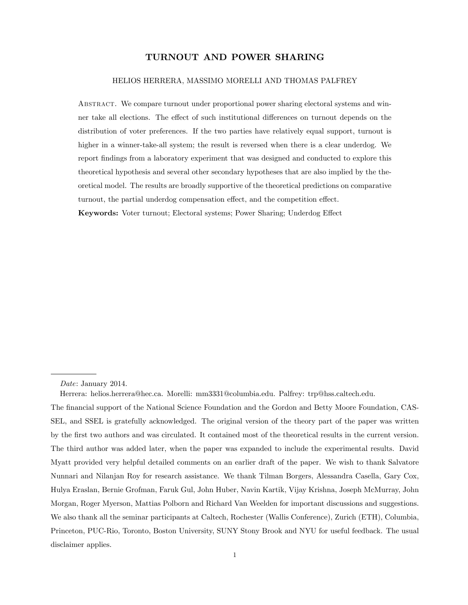#### TURNOUT AND POWER SHARING

#### HELIOS HERRERA, MASSIMO MORELLI AND THOMAS PALFREY

Abstract. We compare turnout under proportional power sharing electoral systems and winner take all elections. The effect of such institutional differences on turnout depends on the distribution of voter preferences. If the two parties have relatively equal support, turnout is higher in a winner-take-all system; the result is reversed when there is a clear underdog. We report Öndings from a laboratory experiment that was designed and conducted to explore this theoretical hypothesis and several other secondary hypotheses that are also implied by the theoretical model. The results are broadly supportive of the theoretical predictions on comparative turnout, the partial underdog compensation effect, and the competition effect. Keywords: Voter turnout; Electoral systems; Power Sharing; Underdog Effect

The financial support of the National Science Foundation and the Gordon and Betty Moore Foundation, CAS-SEL, and SSEL is gratefully acknowledged. The original version of the theory part of the paper was written by the Örst two authors and was circulated. It contained most of the theoretical results in the current version. The third author was added later, when the paper was expanded to include the experimental results. David Myatt provided very helpful detailed comments on an earlier draft of the paper. We wish to thank Salvatore Nunnari and Nilanjan Roy for research assistance. We thank Tilman Borgers, Alessandra Casella, Gary Cox, Hulya Eraslan, Bernie Grofman, Faruk Gul, John Huber, Navin Kartik, Vijay Krishna, Joseph McMurray, John Morgan, Roger Myerson, Mattias Polborn and Richard Van Weelden for important discussions and suggestions. We also thank all the seminar participants at Caltech, Rochester (Wallis Conference), Zurich (ETH), Columbia, Princeton, PUC-Rio, Toronto, Boston University, SUNY Stony Brook and NYU for useful feedback. The usual disclaimer applies.

Date: January 2014.

Herrera: helios.herrera@hec.ca. Morelli: mm3331@columbia.edu. Palfrey: trp@hss.caltech.edu.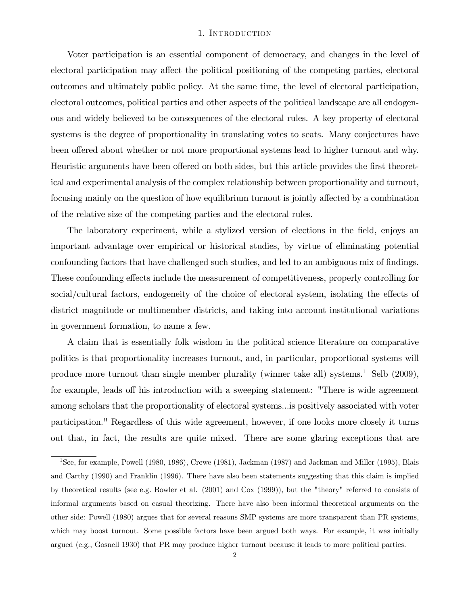#### 1. Introduction

Voter participation is an essential component of democracy, and changes in the level of electoral participation may affect the political positioning of the competing parties, electoral outcomes and ultimately public policy. At the same time, the level of electoral participation, electoral outcomes, political parties and other aspects of the political landscape are all endogenous and widely believed to be consequences of the electoral rules. A key property of electoral systems is the degree of proportionality in translating votes to seats. Many conjectures have been offered about whether or not more proportional systems lead to higher turnout and why. Heuristic arguments have been offered on both sides, but this article provides the first theoretical and experimental analysis of the complex relationship between proportionality and turnout, focusing mainly on the question of how equilibrium turnout is jointly affected by a combination of the relative size of the competing parties and the electoral rules.

The laboratory experiment, while a stylized version of elections in the field, enjoys an important advantage over empirical or historical studies, by virtue of eliminating potential confounding factors that have challenged such studies, and led to an ambiguous mix of findings. These confounding effects include the measurement of competitiveness, properly controlling for social/cultural factors, endogeneity of the choice of electoral system, isolating the effects of district magnitude or multimember districts, and taking into account institutional variations in government formation, to name a few.

A claim that is essentially folk wisdom in the political science literature on comparative politics is that proportionality increases turnout, and, in particular, proportional systems will produce more turnout than single member plurality (winner take all) systems.<sup>1</sup> Selb  $(2009)$ , for example, leads off his introduction with a sweeping statement: "There is wide agreement among scholars that the proportionality of electoral systems...is positively associated with voter participation." Regardless of this wide agreement, however, if one looks more closely it turns out that, in fact, the results are quite mixed. There are some glaring exceptions that are

<sup>1</sup>See, for example, Powell (1980, 1986), Crewe (1981), Jackman (1987) and Jackman and Miller (1995), Blais and Carthy (1990) and Franklin (1996). There have also been statements suggesting that this claim is implied by theoretical results (see e.g. Bowler et al. (2001) and Cox (1999)), but the "theory" referred to consists of informal arguments based on casual theorizing. There have also been informal theoretical arguments on the other side: Powell (1980) argues that for several reasons SMP systems are more transparent than PR systems, which may boost turnout. Some possible factors have been argued both ways. For example, it was initially argued (e.g., Gosnell 1930) that PR may produce higher turnout because it leads to more political parties.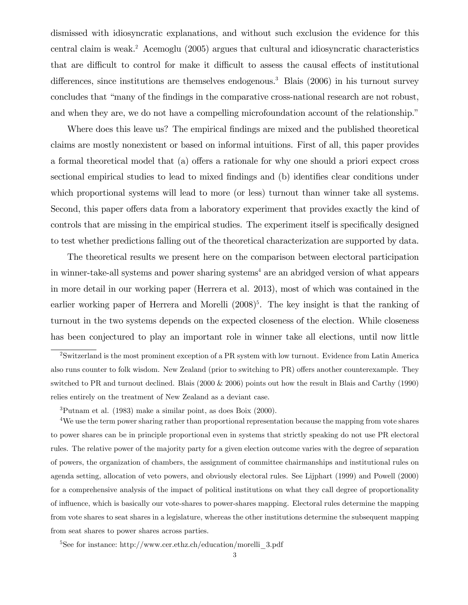dismissed with idiosyncratic explanations, and without such exclusion the evidence for this central claim is weak.<sup>2</sup> Acemoglu (2005) argues that cultural and idiosyncratic characteristics that are difficult to control for make it difficult to assess the causal effects of institutional differences, since institutions are themselves endogenous.<sup>3</sup> Blais  $(2006)$  in his turnout survey concludes that "many of the findings in the comparative cross-national research are not robust, and when they are, we do not have a compelling microfoundation account of the relationship."

Where does this leave us? The empirical findings are mixed and the published theoretical claims are mostly nonexistent or based on informal intuitions. First of all, this paper provides a formal theoretical model that (a) offers a rationale for why one should a priori expect cross sectional empirical studies to lead to mixed findings and (b) identifies clear conditions under which proportional systems will lead to more (or less) turnout than winner take all systems. Second, this paper offers data from a laboratory experiment that provides exactly the kind of controls that are missing in the empirical studies. The experiment itself is specifically designed to test whether predictions falling out of the theoretical characterization are supported by data.

The theoretical results we present here on the comparison between electoral participation in winner-take-all systems and power sharing systems<sup>4</sup> are an abridged version of what appears in more detail in our working paper (Herrera et al. 2013), most of which was contained in the earlier working paper of Herrera and Morelli  $(2008)^5$ . The key insight is that the ranking of turnout in the two systems depends on the expected closeness of the election. While closeness has been conjectured to play an important role in winner take all elections, until now little

<sup>4</sup>We use the term power sharing rather than proportional representation because the mapping from vote shares to power shares can be in principle proportional even in systems that strictly speaking do not use PR electoral rules. The relative power of the majority party for a given election outcome varies with the degree of separation of powers, the organization of chambers, the assignment of committee chairmanships and institutional rules on agenda setting, allocation of veto powers, and obviously electoral rules. See Lijphart (1999) and Powell (2000) for a comprehensive analysis of the impact of political institutions on what they call degree of proportionality of ináuence, which is basically our vote-shares to power-shares mapping. Electoral rules determine the mapping from vote shares to seat shares in a legislature, whereas the other institutions determine the subsequent mapping from seat shares to power shares across parties.

 ${}^{5}$ See for instance: http://www.cer.ethz.ch/education/morelli 3.pdf

<sup>2</sup>Switzerland is the most prominent exception of a PR system with low turnout. Evidence from Latin America also runs counter to folk wisdom. New Zealand (prior to switching to PR) offers another counterexample. They switched to PR and turnout declined. Blais (2000 & 2006) points out how the result in Blais and Carthy (1990) relies entirely on the treatment of New Zealand as a deviant case.

 ${}^{3}$ Putnam et al. (1983) make a similar point, as does Boix (2000).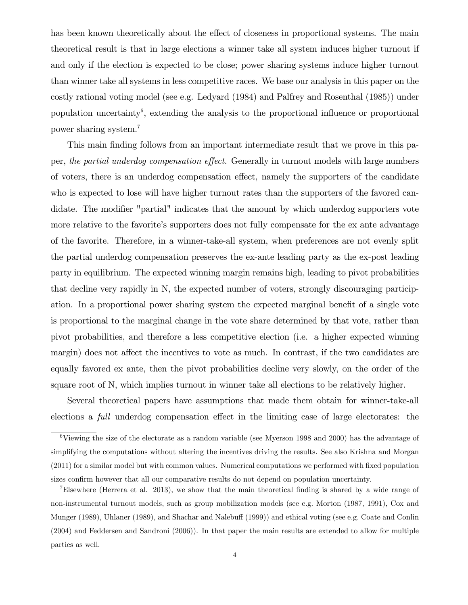has been known theoretically about the effect of closeness in proportional systems. The main theoretical result is that in large elections a winner take all system induces higher turnout if and only if the election is expected to be close; power sharing systems induce higher turnout than winner take all systems in less competitive races. We base our analysis in this paper on the costly rational voting model (see e.g. Ledyard (1984) and Palfrey and Rosenthal (1985)) under population uncertainty<sup>6</sup>, extending the analysis to the proportional influence or proportional power sharing system.<sup>7</sup>

This main finding follows from an important intermediate result that we prove in this paper, the partial underdog compensation effect. Generally in turnout models with large numbers of voters, there is an underdog compensation effect, namely the supporters of the candidate who is expected to lose will have higher turnout rates than the supporters of the favored candidate. The modifier "partial" indicates that the amount by which underdog supporters vote more relative to the favorite's supporters does not fully compensate for the ex ante advantage of the favorite. Therefore, in a winner-take-all system, when preferences are not evenly split the partial underdog compensation preserves the ex-ante leading party as the ex-post leading party in equilibrium. The expected winning margin remains high, leading to pivot probabilities that decline very rapidly in N, the expected number of voters, strongly discouraging participation. In a proportional power sharing system the expected marginal benefit of a single vote is proportional to the marginal change in the vote share determined by that vote, rather than pivot probabilities, and therefore a less competitive election (i.e. a higher expected winning margin) does not affect the incentives to vote as much. In contrast, if the two candidates are equally favored ex ante, then the pivot probabilities decline very slowly, on the order of the square root of N, which implies turnout in winner take all elections to be relatively higher.

Several theoretical papers have assumptions that made them obtain for winner-take-all elections a *full* underdog compensation effect in the limiting case of large electorates: the

<sup>6</sup>Viewing the size of the electorate as a random variable (see Myerson 1998 and 2000) has the advantage of simplifying the computations without altering the incentives driving the results. See also Krishna and Morgan (2011) for a similar model but with common values. Numerical computations we performed with Öxed population sizes confirm however that all our comparative results do not depend on population uncertainty.

<sup>7</sup>Elsewhere (Herrera et al. 2013), we show that the main theoretical Önding is shared by a wide range of non-instrumental turnout models, such as group mobilization models (see e.g. Morton (1987, 1991), Cox and Munger (1989), Uhlaner (1989), and Shachar and Nalebuff (1999)) and ethical voting (see e.g. Coate and Conlin (2004) and Feddersen and Sandroni (2006)). In that paper the main results are extended to allow for multiple parties as well.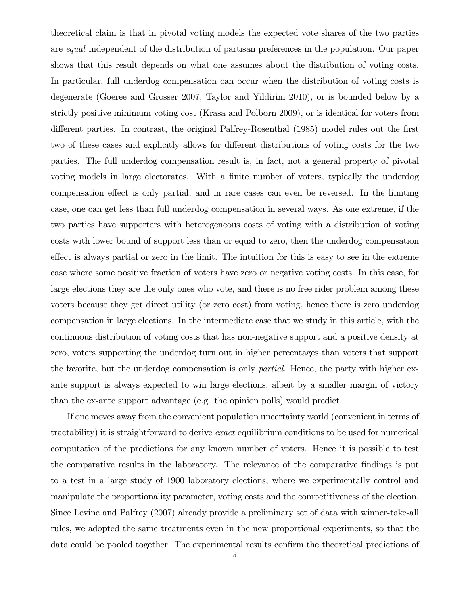theoretical claim is that in pivotal voting models the expected vote shares of the two parties are equal independent of the distribution of partisan preferences in the population. Our paper shows that this result depends on what one assumes about the distribution of voting costs. In particular, full underdog compensation can occur when the distribution of voting costs is degenerate (Goeree and Grosser 2007, Taylor and Yildirim 2010), or is bounded below by a strictly positive minimum voting cost (Krasa and Polborn 2009), or is identical for voters from different parties. In contrast, the original Palfrey-Rosenthal (1985) model rules out the first two of these cases and explicitly allows for different distributions of voting costs for the two parties. The full underdog compensation result is, in fact, not a general property of pivotal voting models in large electorates. With a finite number of voters, typically the underdog compensation effect is only partial, and in rare cases can even be reversed. In the limiting case, one can get less than full underdog compensation in several ways. As one extreme, if the two parties have supporters with heterogeneous costs of voting with a distribution of voting costs with lower bound of support less than or equal to zero, then the underdog compensation effect is always partial or zero in the limit. The intuition for this is easy to see in the extreme case where some positive fraction of voters have zero or negative voting costs. In this case, for large elections they are the only ones who vote, and there is no free rider problem among these voters because they get direct utility (or zero cost) from voting, hence there is zero underdog compensation in large elections. In the intermediate case that we study in this article, with the continuous distribution of voting costs that has non-negative support and a positive density at zero, voters supporting the underdog turn out in higher percentages than voters that support the favorite, but the underdog compensation is only *partial*. Hence, the party with higher exante support is always expected to win large elections, albeit by a smaller margin of victory than the ex-ante support advantage (e.g. the opinion polls) would predict.

If one moves away from the convenient population uncertainty world (convenient in terms of tractability) it is straightforward to derive exact equilibrium conditions to be used for numerical computation of the predictions for any known number of voters. Hence it is possible to test the comparative results in the laboratory. The relevance of the comparative Öndings is put to a test in a large study of 1900 laboratory elections, where we experimentally control and manipulate the proportionality parameter, voting costs and the competitiveness of the election. Since Levine and Palfrey (2007) already provide a preliminary set of data with winner-take-all rules, we adopted the same treatments even in the new proportional experiments, so that the data could be pooled together. The experimental results confirm the theoretical predictions of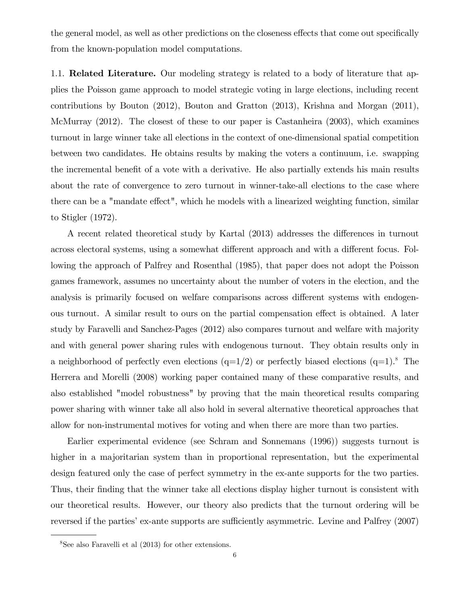the general model, as well as other predictions on the closeness effects that come out specifically from the known-population model computations.

1.1. Related Literature. Our modeling strategy is related to a body of literature that applies the Poisson game approach to model strategic voting in large elections, including recent contributions by Bouton (2012), Bouton and Gratton (2013), Krishna and Morgan (2011), McMurray (2012). The closest of these to our paper is Castanheira (2003), which examines turnout in large winner take all elections in the context of one-dimensional spatial competition between two candidates. He obtains results by making the voters a continuum, i.e. swapping the incremental benefit of a vote with a derivative. He also partially extends his main results about the rate of convergence to zero turnout in winner-take-all elections to the case where there can be a "mandate effect", which he models with a linearized weighting function, similar to Stigler (1972).

A recent related theoretical study by Kartal (2013) addresses the differences in turnout across electoral systems, using a somewhat different approach and with a different focus. Following the approach of Palfrey and Rosenthal (1985), that paper does not adopt the Poisson games framework, assumes no uncertainty about the number of voters in the election, and the analysis is primarily focused on welfare comparisons across different systems with endogenous turnout. A similar result to ours on the partial compensation effect is obtained. A later study by Faravelli and Sanchez-Pages (2012) also compares turnout and welfare with majority and with general power sharing rules with endogenous turnout. They obtain results only in a neighborhood of perfectly even elections  $(q=1/2)$  or perfectly biased elections  $(q=1)$ .<sup>8</sup> The Herrera and Morelli (2008) working paper contained many of these comparative results, and also established "model robustness" by proving that the main theoretical results comparing power sharing with winner take all also hold in several alternative theoretical approaches that allow for non-instrumental motives for voting and when there are more than two parties.

Earlier experimental evidence (see Schram and Sonnemans (1996)) suggests turnout is higher in a majoritarian system than in proportional representation, but the experimental design featured only the case of perfect symmetry in the ex-ante supports for the two parties. Thus, their finding that the winner take all elections display higher turnout is consistent with our theoretical results. However, our theory also predicts that the turnout ordering will be reversed if the parties' ex-ante supports are sufficiently asymmetric. Levine and Palfrey (2007)

 ${}^{8}$ See also Faravelli et al (2013) for other extensions.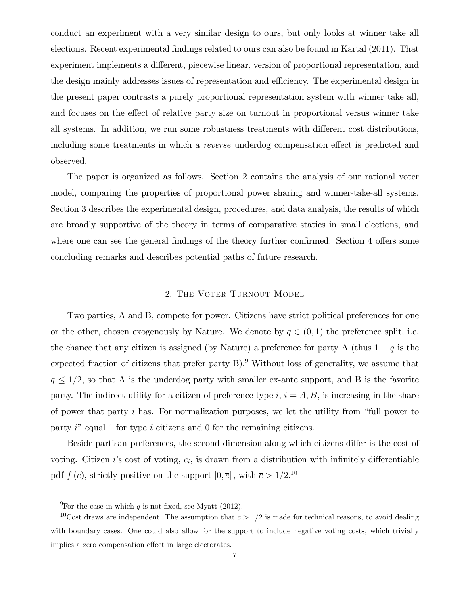conduct an experiment with a very similar design to ours, but only looks at winner take all elections. Recent experimental Öndings related to ours can also be found in Kartal (2011). That experiment implements a different, piecewise linear, version of proportional representation, and the design mainly addresses issues of representation and efficiency. The experimental design in the present paper contrasts a purely proportional representation system with winner take all, and focuses on the effect of relative party size on turnout in proportional versus winner take all systems. In addition, we run some robustness treatments with different cost distributions, including some treatments in which a *reverse* underdog compensation effect is predicted and observed.

The paper is organized as follows. Section 2 contains the analysis of our rational voter model, comparing the properties of proportional power sharing and winner-take-all systems. Section 3 describes the experimental design, procedures, and data analysis, the results of which are broadly supportive of the theory in terms of comparative statics in small elections, and where one can see the general findings of the theory further confirmed. Section 4 offers some concluding remarks and describes potential paths of future research.

### 2. THE VOTER TURNOUT MODEL

Two parties, A and B, compete for power. Citizens have strict political preferences for one or the other, chosen exogenously by Nature. We denote by  $q \in (0, 1)$  the preference split, i.e. the chance that any citizen is assigned (by Nature) a preference for party A (thus  $1 - q$  is the expected fraction of citizens that prefer party  $B$ ).<sup>9</sup> Without loss of generality, we assume that  $q \leq 1/2$ , so that A is the underdog party with smaller ex-ante support, and B is the favorite party. The indirect utility for a citizen of preference type  $i, i = A, B$ , is increasing in the share of power that party  $i$  has. For normalization purposes, we let the utility from "full power to party  $i^{\prime\prime}$  equal 1 for type i citizens and 0 for the remaining citizens.

Beside partisan preferences, the second dimension along which citizens differ is the cost of voting. Citizen is cost of voting,  $c_i$ , is drawn from a distribution with infinitely differentiable pdf  $f(c)$ , strictly positive on the support  $[0, \bar{c}]$ , with  $\bar{c} > 1/2$ .<sup>10</sup>

<sup>&</sup>lt;sup>9</sup>For the case in which q is not fixed, see Myatt (2012).

<sup>&</sup>lt;sup>10</sup>Cost draws are independent. The assumption that  $\bar{c} > 1/2$  is made for technical reasons, to avoid dealing with boundary cases. One could also allow for the support to include negative voting costs, which trivially implies a zero compensation effect in large electorates.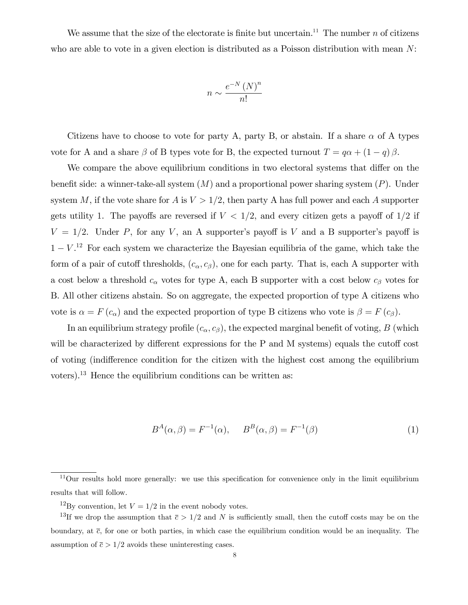We assume that the size of the electorate is finite but uncertain.<sup>11</sup> The number n of citizens who are able to vote in a given election is distributed as a Poisson distribution with mean  $N$ :

$$
n \sim \frac{e^{-N} \left( N \right)^n}{n!}
$$

Citizens have to choose to vote for party A, party B, or abstain. If a share  $\alpha$  of A types vote for A and a share  $\beta$  of B types vote for B, the expected turnout  $T = q\alpha + (1 - q)\beta$ .

We compare the above equilibrium conditions in two electoral systems that differ on the benefit side: a winner-take-all system  $(M)$  and a proportional power sharing system  $(P)$ . Under system M, if the vote share for A is  $V > 1/2$ , then party A has full power and each A supporter gets utility 1. The payoffs are reversed if  $V < 1/2$ , and every citizen gets a payoff of  $1/2$  if  $V = 1/2$ . Under P, for any V, an A supporter's payoff is V and a B supporter's payoff is  $1 - V<sup>12</sup>$  For each system we characterize the Bayesian equilibria of the game, which take the form of a pair of cutoff thresholds,  $(c_{\alpha}, c_{\beta})$ , one for each party. That is, each A supporter with a cost below a threshold  $c_{\alpha}$  votes for type A, each B supporter with a cost below  $c_{\beta}$  votes for B. All other citizens abstain. So on aggregate, the expected proportion of type A citizens who vote is  $\alpha = F(c_{\alpha})$  and the expected proportion of type B citizens who vote is  $\beta = F(c_{\beta})$ .

In an equilibrium strategy profile  $(c_{\alpha}, c_{\beta})$ , the expected marginal benefit of voting, B (which will be characterized by different expressions for the  $P$  and  $M$  systems) equals the cutoff cost of voting (indifference condition for the citizen with the highest cost among the equilibrium voters).<sup>13</sup> Hence the equilibrium conditions can be written as:

$$
BA(\alpha, \beta) = F-1(\alpha), \qquad BB(\alpha, \beta) = F-1(\beta)
$$
\n(1)

 $11$ Our results hold more generally: we use this specification for convenience only in the limit equilibrium results that will follow.

 $^{12}$ By convention, let  $V = 1/2$  in the event nobody votes.

<sup>&</sup>lt;sup>13</sup>If we drop the assumption that  $\bar{c} > 1/2$  and N is sufficiently small, then the cutoff costs may be on the boundary, at  $\bar{c}$ , for one or both parties, in which case the equilibrium condition would be an inequality. The assumption of  $\bar{c} > 1/2$  avoids these uninteresting cases.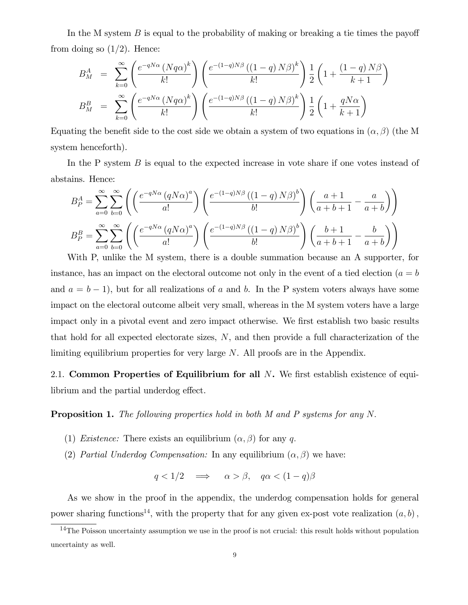In the M system  $B$  is equal to the probability of making or breaking a tie times the payoff from doing so  $(1/2)$ . Hence:

$$
B_M^A = \sum_{k=0}^{\infty} \left( \frac{e^{-qN\alpha} (Nq\alpha)^k}{k!} \right) \left( \frac{e^{-(1-q)N\beta} ((1-q)N\beta)^k}{k!} \right) \frac{1}{2} \left( 1 + \frac{(1-q)N\beta}{k+1} \right)
$$
  

$$
B_M^B = \sum_{k=0}^{\infty} \left( \frac{e^{-qN\alpha} (Nq\alpha)^k}{k!} \right) \left( \frac{e^{-(1-q)N\beta} ((1-q)N\beta)^k}{k!} \right) \frac{1}{2} \left( 1 + \frac{qN\alpha}{k+1} \right)
$$

Equating the benefit side to the cost side we obtain a system of two equations in  $(\alpha, \beta)$  (the M system henceforth).

In the P system  $B$  is equal to the expected increase in vote share if one votes instead of abstains. Hence:

$$
B_P^A = \sum_{a=0}^{\infty} \sum_{b=0}^{\infty} \left( \left( \frac{e^{-qN\alpha} (qN\alpha)^a}{a!} \right) \left( \frac{e^{-(1-q)N\beta} ((1-q)N\beta)^b}{b!} \right) \left( \frac{a+1}{a+b+1} - \frac{a}{a+b} \right) \right)
$$

$$
B_P^B = \sum_{a=0}^{\infty} \sum_{b=0}^{\infty} \left( \left( \frac{e^{-qN\alpha} (qN\alpha)^a}{a!} \right) \left( \frac{e^{-(1-q)N\beta} ((1-q)N\beta)^b}{b!} \right) \left( \frac{b+1}{a+b+1} - \frac{b}{a+b} \right) \right)
$$

With P, unlike the M system, there is a double summation because an A supporter, for instance, has an impact on the electoral outcome not only in the event of a tied election  $(a = b$ and  $a = b - 1$ , but for all realizations of a and b. In the P system voters always have some impact on the electoral outcome albeit very small, whereas in the M system voters have a large impact only in a pivotal event and zero impact otherwise. We first establish two basic results that hold for all expected electorate sizes,  $N$ , and then provide a full characterization of the limiting equilibrium properties for very large N. All proofs are in the Appendix.

2.1. Common Properties of Equilibrium for all  $N$ . We first establish existence of equilibrium and the partial underdog effect.

**Proposition 1.** The following properties hold in both  $M$  and  $P$  systems for any  $N$ .

- (1) *Existence:* There exists an equilibrium  $(\alpha, \beta)$  for any q.
- (2) Partial Underdog Compensation: In any equilibrium  $(\alpha, \beta)$  we have:

$$
q < 1/2 \quad \Longrightarrow \quad \alpha > \beta, \quad q\alpha < (1 - q)\beta
$$

As we show in the proof in the appendix, the underdog compensation holds for general power sharing functions<sup>14</sup>, with the property that for any given ex-post vote realization  $(a, b)$ ,

 $14$ The Poisson uncertainty assumption we use in the proof is not crucial: this result holds without population uncertainty as well.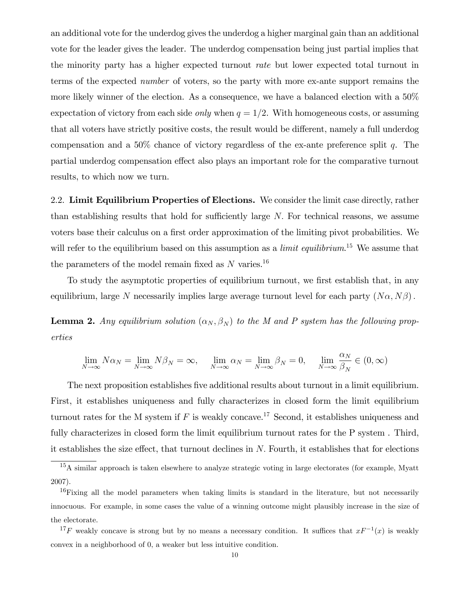an additional vote for the underdog gives the underdog a higher marginal gain than an additional vote for the leader gives the leader. The underdog compensation being just partial implies that the minority party has a higher expected turnout rate but lower expected total turnout in terms of the expected number of voters, so the party with more ex-ante support remains the more likely winner of the election. As a consequence, we have a balanced election with a 50% expectation of victory from each side *only* when  $q = 1/2$ . With homogeneous costs, or assuming that all voters have strictly positive costs, the result would be different, namely a full underdog compensation and a  $50\%$  chance of victory regardless of the ex-ante preference split q. The partial underdog compensation effect also plays an important role for the comparative turnout results, to which now we turn.

2.2. Limit Equilibrium Properties of Elections. We consider the limit case directly, rather than establishing results that hold for sufficiently large  $N$ . For technical reasons, we assume voters base their calculus on a first order approximation of the limiting pivot probabilities. We will refer to the equilibrium based on this assumption as a *limit equilibrium*.<sup>15</sup> We assume that the parameters of the model remain fixed as  $N$  varies.<sup>16</sup>

To study the asymptotic properties of equilibrium turnout, we first establish that, in any equilibrium, large N necessarily implies large average turnout level for each party  $(N\alpha, N\beta)$ .

**Lemma 2.** Any equilibrium solution  $(\alpha_N, \beta_N)$  to the M and P system has the following properties

$$
\lim_{N \to \infty} N \alpha_N = \lim_{N \to \infty} N \beta_N = \infty, \quad \lim_{N \to \infty} \alpha_N = \lim_{N \to \infty} \beta_N = 0, \quad \lim_{N \to \infty} \frac{\alpha_N}{\beta_N} \in (0, \infty)
$$

The next proposition establishes five additional results about turnout in a limit equilibrium. First, it establishes uniqueness and fully characterizes in closed form the limit equilibrium turnout rates for the M system if F is weakly concave.<sup>17</sup> Second, it establishes uniqueness and fully characterizes in closed form the limit equilibrium turnout rates for the P system. Third, it establishes the size effect, that turnout declines in  $N$ . Fourth, it establishes that for elections

 $\frac{15}{15}$ A similar approach is taken elsewhere to analyze strategic voting in large electorates (for example, Myatt 2007).

 $16$ Fixing all the model parameters when taking limits is standard in the literature, but not necessarily innocuous. For example, in some cases the value of a winning outcome might plausibly increase in the size of the electorate.

<sup>&</sup>lt;sup>17</sup>F weakly concave is strong but by no means a necessary condition. It suffices that  $xF^{-1}(x)$  is weakly convex in a neighborhood of 0, a weaker but less intuitive condition.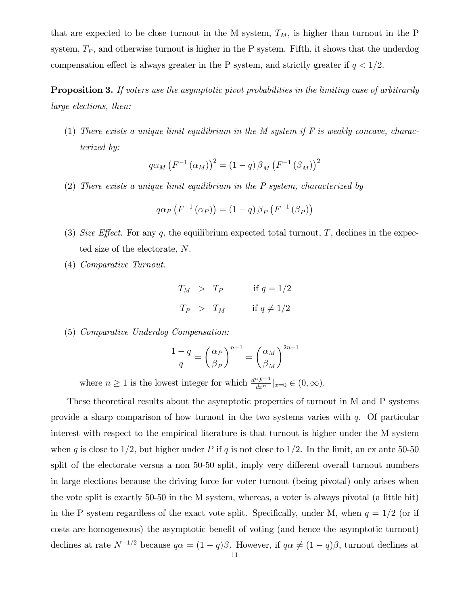that are expected to be close turnout in the M system,  $T_M$ , is higher than turnout in the P system,  $T_P$ , and otherwise turnout is higher in the P system. Fifth, it shows that the underdog compensation effect is always greater in the P system, and strictly greater if  $q < 1/2$ .

**Proposition 3.** If voters use the asymptotic pivot probabilities in the limiting case of arbitrarily large elections, then:

(1) There exists a unique limit equilibrium in the  $M$  system if  $F$  is weakly concave, characterized by:

$$
q\alpha_M\left(F^{-1}\left(\alpha_M\right)\right)^2=\left(1-q\right)\beta_M\left(F^{-1}\left(\beta_M\right)\right)^2
$$

(2) There exists a unique limit equilibrium in the P system, characterized by

$$
q\alpha_P \left( F^{-1} \left( \alpha_P \right) \right) = \left( 1 - q \right) \beta_P \left( F^{-1} \left( \beta_P \right) \right)
$$

- (3) Size Effect. For any q, the equilibrium expected total turnout, T, declines in the expected size of the electorate, N.
- (4) Comparative Turnout.

T<sup>M</sup> > T<sup>P</sup> if q = 1=2 T<sup>P</sup> > T<sup>M</sup> if q 6= 1=2

(5) Comparative Underdog Compensation:

$$
\frac{1-q}{q} = \left(\frac{\alpha_P}{\beta_P}\right)^{n+1} = \left(\frac{\alpha_M}{\beta_M}\right)^{2n+1}
$$

where  $n \ge 1$  is the lowest integer for which  $\frac{d^n F^{-1}}{dx^n}|_{x=0} \in (0,\infty)$ .

These theoretical results about the asymptotic properties of turnout in M and P systems provide a sharp comparison of how turnout in the two systems varies with  $q$ . Of particular interest with respect to the empirical literature is that turnout is higher under the M system when q is close to 1/2, but higher under P if q is not close to 1/2. In the limit, an ex ante 50-50 split of the electorate versus a non 50-50 split, imply very different overall turnout numbers in large elections because the driving force for voter turnout (being pivotal) only arises when the vote split is exactly 50-50 in the M system, whereas, a voter is always pivotal (a little bit) in the P system regardless of the exact vote split. Specifically, under M, when  $q = 1/2$  (or if costs are homogeneous) the asymptotic benefit of voting (and hence the asymptotic turnout) declines at rate  $N^{-1/2}$  because  $q\alpha = (1-q)\beta$ . However, if  $q\alpha \neq (1-q)\beta$ , turnout declines at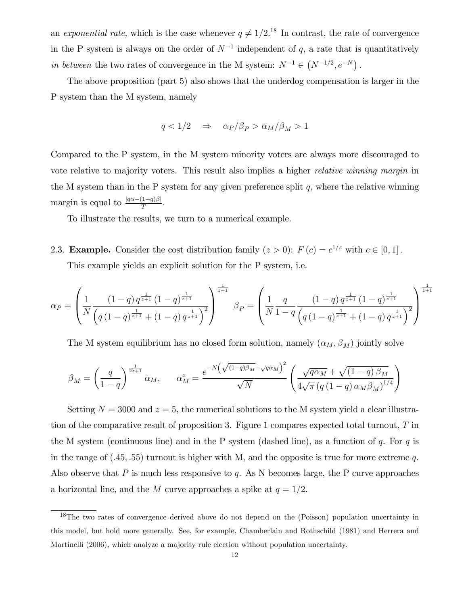an exponential rate, which is the case whenever  $q \neq 1/2$ .<sup>18</sup> In contrast, the rate of convergence in the P system is always on the order of  $N^{-1}$  independent of q, a rate that is quantitatively in between the two rates of convergence in the M system:  $N^{-1} \in (N^{-1/2}, e^{-N})$ .

The above proposition (part 5) also shows that the underdog compensation is larger in the P system than the M system, namely

$$
q < 1/2 \quad \Rightarrow \quad \alpha_P/\beta_P > \alpha_M/\beta_M > 1
$$

Compared to the P system, in the M system minority voters are always more discouraged to vote relative to majority voters. This result also implies a higher relative winning margin in the M system than in the P system for any given preference split  $q$ , where the relative winning margin is equal to  $\frac{|q\alpha-(1-q)\beta|}{T}$ .

To illustrate the results, we turn to a numerical example.

2.3. **Example.** Consider the cost distribution family  $(z > 0)$ :  $F(c) = c^{1/z}$  with  $c \in [0, 1]$ . This example yields an explicit solution for the P system, i.e.

$$
\alpha_P = \left(\frac{1}{N} \frac{\left(1-q\right) q^{\frac{1}{z+1}} \left(1-q\right)^{\frac{1}{z+1}}}{\left(q\left(1-q\right)^{\frac{1}{z+1}} + \left(1-q\right) q^{\frac{1}{z+1}}\right)^2}\right)^{\frac{1}{z+1}} \beta_P = \left(\frac{1}{N} \frac{q}{1-q} \frac{\left(1-q\right) q^{\frac{1}{z+1}} \left(1-q\right)^{\frac{1}{z+1}}}{\left(q\left(1-q\right)^{\frac{1}{z+1}} + \left(1-q\right) q^{\frac{1}{z+1}}\right)^2}\right)^{\frac{1}{z+1}}
$$

The M system equilibrium has no closed form solution, namely  $(\alpha_M, \beta_M)$  jointly solve

$$
\beta_M = \left(\frac{q}{1-q}\right)^{\frac{1}{2z+1}} \alpha_M, \qquad \alpha_M^z = \frac{e^{-N\left(\sqrt{(1-q)\beta_M}-\sqrt{q\alpha_M}\right)^2}}{\sqrt{N}} \left(\frac{\sqrt{q\alpha_M}+\sqrt{(1-q)\beta_M}}{4\sqrt{\pi}\left(q\left(1-q\right)\alpha_M\beta_M\right)^{1/4}}\right)
$$

Setting  $N = 3000$  and  $z = 5$ , the numerical solutions to the M system yield a clear illustration of the comparative result of proposition 3. Figure 1 compares expected total turnout,  $T$  in the M system (continuous line) and in the P system (dashed line), as a function of q. For q is in the range of  $(.45, .55)$  turnout is higher with M, and the opposite is true for more extreme q. Also observe that  $P$  is much less responsive to  $q$ . As N becomes large, the P curve approaches a horizontal line, and the M curve approaches a spike at  $q = 1/2$ .

<sup>&</sup>lt;sup>18</sup>The two rates of convergence derived above do not depend on the (Poisson) population uncertainty in this model, but hold more generally. See, for example, Chamberlain and Rothschild (1981) and Herrera and Martinelli (2006), which analyze a majority rule election without population uncertainty.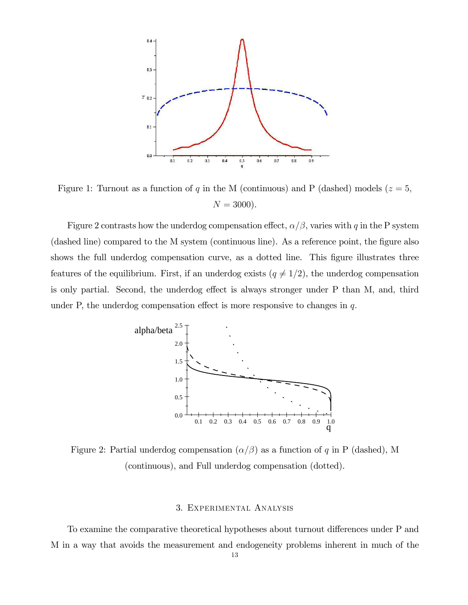

Figure 1: Turnout as a function of q in the M (continuous) and P (dashed) models ( $z = 5$ ,  $N = 3000$ ).

Figure 2 contrasts how the underdog compensation effect,  $\alpha/\beta$ , varies with q in the P system (dashed line) compared to the M system (continuous line). As a reference point, the figure also shows the full underdog compensation curve, as a dotted line. This figure illustrates three features of the equilibrium. First, if an underdog exists  $(q \neq 1/2)$ , the underdog compensation is only partial. Second, the underdog effect is always stronger under P than M, and, third under P, the underdog compensation effect is more responsive to changes in  $q$ .



Figure 2: Partial underdog compensation  $(\alpha/\beta)$  as a function of q in P (dashed), M (continuous), and Full underdog compensation (dotted).

### 3. Experimental Analysis

To examine the comparative theoretical hypotheses about turnout differences under P and M in a way that avoids the measurement and endogeneity problems inherent in much of the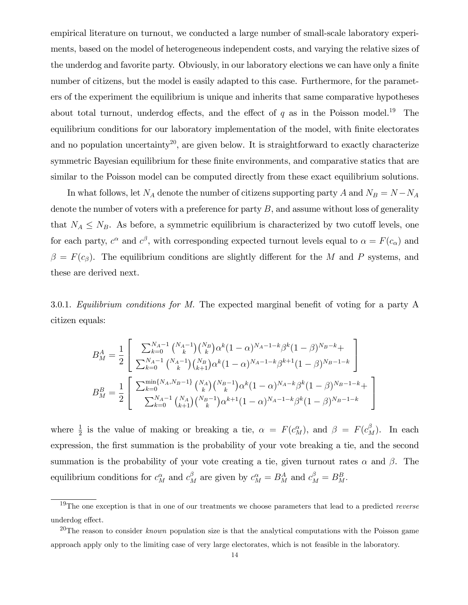empirical literature on turnout, we conducted a large number of small-scale laboratory experiments, based on the model of heterogeneous independent costs, and varying the relative sizes of the underdog and favorite party. Obviously, in our laboratory elections we can have only a finite number of citizens, but the model is easily adapted to this case. Furthermore, for the parameters of the experiment the equilibrium is unique and inherits that same comparative hypotheses about total turnout, underdog effects, and the effect of  $q$  as in the Poisson model.<sup>19</sup> The equilibrium conditions for our laboratory implementation of the model, with finite electorates and no population uncertainty<sup>20</sup>, are given below. It is straightforward to exactly characterize symmetric Bayesian equilibrium for these finite environments, and comparative statics that are similar to the Poisson model can be computed directly from these exact equilibrium solutions.

In what follows, let  $N_A$  denote the number of citizens supporting party A and  $N_B = N - N_A$ denote the number of voters with a preference for party  $B$ , and assume without loss of generality that  $N_A \leq N_B$ . As before, a symmetric equilibrium is characterized by two cutoff levels, one for each party,  $c^{\alpha}$  and  $c^{\beta}$ , with corresponding expected turnout levels equal to  $\alpha = F(c_{\alpha})$  and  $\beta = F(c_{\beta})$ . The equilibrium conditions are slightly different for the M and P systems, and these are derived next.

3.0.1. Equilibrium conditions for M. The expected marginal benefit of voting for a party  $A$ citizen equals:

$$
B_M^A = \frac{1}{2} \left[ \begin{array}{c} \sum_{k=0}^{N_A-1} {N_A-1 \choose k} {N_B \choose k} \alpha^k (1-\alpha)^{N_A-1-k} \beta^k (1-\beta)^{N_B-k} + \\ \sum_{k=0}^{N_A-1} {N_A-1 \choose k} {N_B \choose k+1} \alpha^k (1-\alpha)^{N_A-1-k} \beta^{k+1} (1-\beta)^{N_B-1-k} \end{array} \right]
$$
  
\n
$$
B_M^B = \frac{1}{2} \left[ \begin{array}{c} \sum_{k=0}^{\min\{N_A, N_B-1\}} {N_A \choose k} {N_B-1 \choose k} \alpha^k (1-\alpha)^{N_A-k} \beta^k (1-\beta)^{N_B-1-k} + \\ \sum_{k=0}^{N_A-1} {N_A \choose k+1} {N_B-1 \choose k} \alpha^{k+1} (1-\alpha)^{N_A-1-k} \beta^k (1-\beta)^{N_B-1-k} \end{array} \right]
$$

where  $\frac{1}{2}$  is the value of making or breaking a tie,  $\alpha = F(c_M^{\alpha})$ , and  $\beta = F(c_M^{\beta})$ . In each expression, the first summation is the probability of your vote breaking a tie, and the second summation is the probability of your vote creating a tie, given turnout rates  $\alpha$  and  $\beta$ . The equilibrium conditions for  $c_M^{\alpha}$  and  $c_M^{\beta}$  are given by  $c_M^{\alpha} = B_M^A$  and  $c_M^{\beta} = B_M^B$ .

 $19$ The one exception is that in one of our treatments we choose parameters that lead to a predicted *reverse* underdog effect.

<sup>&</sup>lt;sup>20</sup>The reason to consider *known* population size is that the analytical computations with the Poisson game approach apply only to the limiting case of very large electorates, which is not feasible in the laboratory.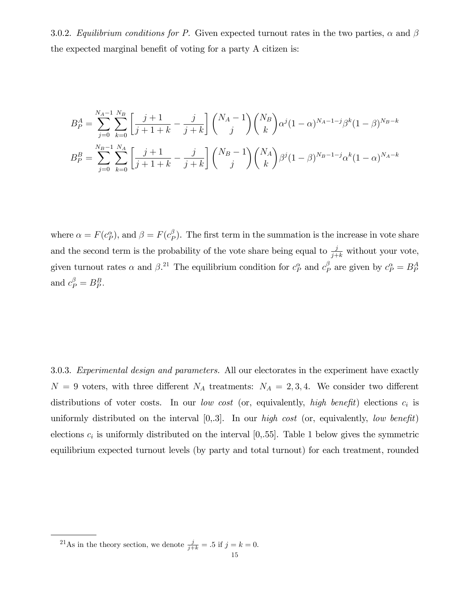3.0.2. Equilibrium conditions for P. Given expected turnout rates in the two parties,  $\alpha$  and  $\beta$ the expected marginal benefit of voting for a party A citizen is:

$$
B_P^A = \sum_{j=0}^{N_A-1} \sum_{k=0}^{N_B} \left[ \frac{j+1}{j+1+k} - \frac{j}{j+k} \right] \binom{N_A-1}{j} \binom{N_B}{k} \alpha^j (1-\alpha)^{N_A-1-j} \beta^k (1-\beta)^{N_B-k}
$$
  

$$
B_P^B = \sum_{j=0}^{N_B-1} \sum_{k=0}^{N_A} \left[ \frac{j+1}{j+1+k} - \frac{j}{j+k} \right] \binom{N_B-1}{j} \binom{N_A}{k} \beta^j (1-\beta)^{N_B-1-j} \alpha^k (1-\alpha)^{N_A-k}
$$

where  $\alpha = F(c_P^{\alpha})$ , and  $\beta = F(c_P^{\beta})$  $_{P}^{\beta}$ ). The first term in the summation is the increase in vote share and the second term is the probability of the vote share being equal to  $\frac{j}{j+k}$  without your vote, given turnout rates  $\alpha$  and  $\beta$ <sup>21</sup>. The equilibrium condition for  $c_P^{\alpha}$  and  $c_P^{\beta}$  $P_P^{\beta}$  are given by  $c_P^{\alpha} = B_P^A$ and  $c_P^{\beta} = B_P^B$ .

3.0.3. Experimental design and parameters. All our electorates in the experiment have exactly  $N = 9$  voters, with three different  $N_A$  treatments:  $N_A = 2, 3, 4$ . We consider two different distributions of voter costs. In our *low cost* (or, equivalently, *high benefit*) elections  $c_i$  is uniformly distributed on the interval  $[0,3]$ . In our *high cost* (or, equivalently, *low benefit*) elections  $c_i$  is uniformly distributed on the interval [0,.55]. Table 1 below gives the symmetric equilibrium expected turnout levels (by party and total turnout) for each treatment, rounded

<sup>&</sup>lt;sup>21</sup>As in the theory section, we denote  $\frac{j}{j+k} = .5$  if  $j = k = 0$ .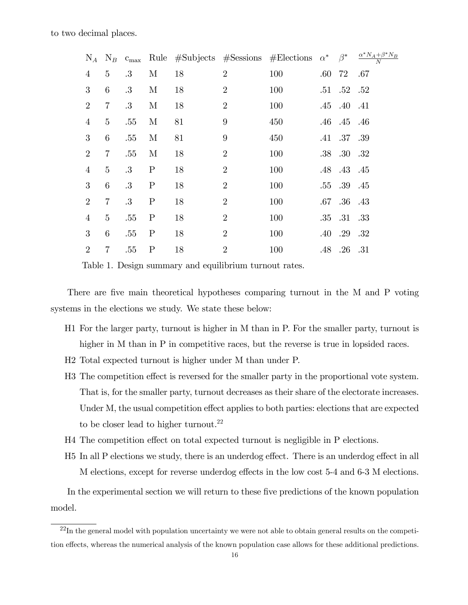to two decimal places.

| $\mathrm{N}_A$ |                  |         |              |    |                | $N_B$ $c_{\text{max}}$ Rule #Subjects #Sessions #Elections $\alpha^*$ $\beta^*$ |                   | $\frac{\alpha^* N_A + \beta^* N_B}{N}$ |
|----------------|------------------|---------|--------------|----|----------------|---------------------------------------------------------------------------------|-------------------|----------------------------------------|
| $\overline{4}$ | $\overline{5}$   | .3      | М            | 18 | $\overline{2}$ | 100                                                                             | .60 72            | .67                                    |
| 3              | $\boldsymbol{6}$ | .3      | М            | 18 | $\overline{2}$ | 100                                                                             | $.51$ $.52$ $.52$ |                                        |
| $\overline{2}$ | $\overline{7}$   | .3      | М            | 18 | $\overline{2}$ | 100                                                                             | .45 .40 .41       |                                        |
| $\overline{4}$ | $\mathbf 5$      | $.55\,$ | $\mathbf{M}$ | 81 | 9              | 450                                                                             | .46 .45 .46       |                                        |
| 3              | $\boldsymbol{6}$ | .55     | М            | 81 | 9              | 450                                                                             | .41 .37 .39       |                                        |
| $\overline{2}$ | $\overline{7}$   | .55     | $\mathbf{M}$ | 18 | $\overline{2}$ | 100                                                                             | .38 .30 .32       |                                        |
| $\overline{4}$ | $\mathbf 5$      | .3      | $\mathbf P$  | 18 | $\overline{2}$ | 100                                                                             | .48 .43 .45       |                                        |
| 3              | $6\phantom{.}6$  | .3      | $\mathbf P$  | 18 | $\overline{2}$ | 100                                                                             | .55 .39 .45       |                                        |
| $\overline{2}$ | $\overline{7}$   | .3      | $\mathbf P$  | 18 | $\overline{2}$ | 100                                                                             | .67 .36 .43       |                                        |
| $\overline{4}$ | $\bf 5$          | $.55\,$ | $\mathbf P$  | 18 | $\overline{2}$ | 100                                                                             | .35 .31 .33       |                                        |
| 3              | $6\phantom{.}6$  | $.55\,$ | $\mathbf P$  | 18 | $\overline{2}$ | 100                                                                             | .40 .29 .32       |                                        |
| $\overline{2}$ | $\overline{7}$   | .55     | $\mathbf P$  | 18 | $\overline{2}$ | 100                                                                             | .48 .26 .31       |                                        |

Table 1. Design summary and equilibrium turnout rates.

There are five main theoretical hypotheses comparing turnout in the M and P voting systems in the elections we study. We state these below:

- H1 For the larger party, turnout is higher in M than in P. For the smaller party, turnout is higher in M than in P in competitive races, but the reverse is true in lopsided races.
- H2 Total expected turnout is higher under M than under P.
- H3 The competition effect is reversed for the smaller party in the proportional vote system. That is, for the smaller party, turnout decreases as their share of the electorate increases. Under M, the usual competition effect applies to both parties: elections that are expected to be closer lead to higher turnout. $22$
- H4 The competition effect on total expected turnout is negligible in P elections.
- H5 In all P elections we study, there is an underdog effect. There is an underdog effect in all M elections, except for reverse underdog effects in the low cost 5-4 and 6-3 M elections.

In the experimental section we will return to these five predictions of the known population model.

 $^{22}$ In the general model with population uncertainty we were not able to obtain general results on the competition effects, whereas the numerical analysis of the known population case allows for these additional predictions.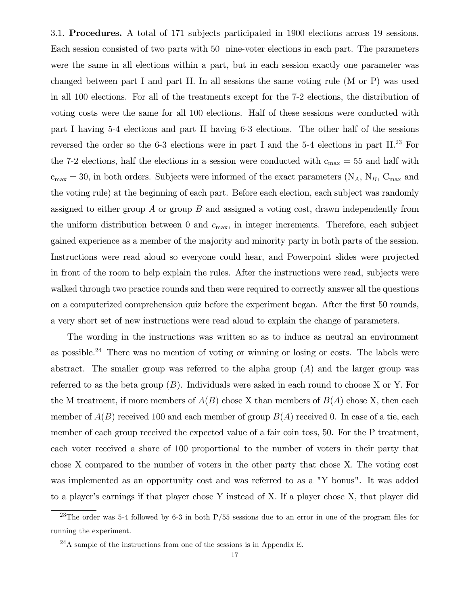3.1. Procedures. A total of 171 subjects participated in 1900 elections across 19 sessions. Each session consisted of two parts with 50 nine-voter elections in each part. The parameters were the same in all elections within a part, but in each session exactly one parameter was changed between part I and part II. In all sessions the same voting rule (M or P) was used in all 100 elections. For all of the treatments except for the 7-2 elections, the distribution of voting costs were the same for all 100 elections. Half of these sessions were conducted with part I having 5-4 elections and part II having 6-3 elections. The other half of the sessions reversed the order so the 6-3 elections were in part I and the 5-4 elections in part II.<sup>23</sup> For the 7-2 elections, half the elections in a session were conducted with  $c_{\text{max}} = 55$  and half with  $c_{\text{max}} = 30$ , in both orders. Subjects were informed of the exact parameters  $(N_A, N_B, C_{\text{max}})$  and the voting rule) at the beginning of each part. Before each election, each subject was randomly assigned to either group  $A$  or group  $B$  and assigned a voting cost, drawn independently from the uniform distribution between  $0$  and  $c_{\text{max}}$ , in integer increments. Therefore, each subject gained experience as a member of the majority and minority party in both parts of the session. Instructions were read aloud so everyone could hear, and Powerpoint slides were projected in front of the room to help explain the rules. After the instructions were read, subjects were walked through two practice rounds and then were required to correctly answer all the questions on a computerized comprehension quiz before the experiment began. After the first 50 rounds, a very short set of new instructions were read aloud to explain the change of parameters.

The wording in the instructions was written so as to induce as neutral an environment as possible.<sup>24</sup> There was no mention of voting or winning or losing or costs. The labels were abstract. The smaller group was referred to the alpha group  $(A)$  and the larger group was referred to as the beta group  $(B)$ . Individuals were asked in each round to choose X or Y. For the M treatment, if more members of  $A(B)$  chose X than members of  $B(A)$  chose X, then each member of  $A(B)$  received 100 and each member of group  $B(A)$  received 0. In case of a tie, each member of each group received the expected value of a fair coin toss, 50. For the P treatment, each voter received a share of 100 proportional to the number of voters in their party that chose X compared to the number of voters in the other party that chose X. The voting cost was implemented as an opportunity cost and was referred to as a "Y bonus". It was added to a player's earnings if that player chose Y instead of X. If a player chose X, that player did

<sup>&</sup>lt;sup>23</sup>The order was 5-4 followed by 6-3 in both  $P/55$  sessions due to an error in one of the program files for running the experiment.

 $^{24}$ A sample of the instructions from one of the sessions is in Appendix E.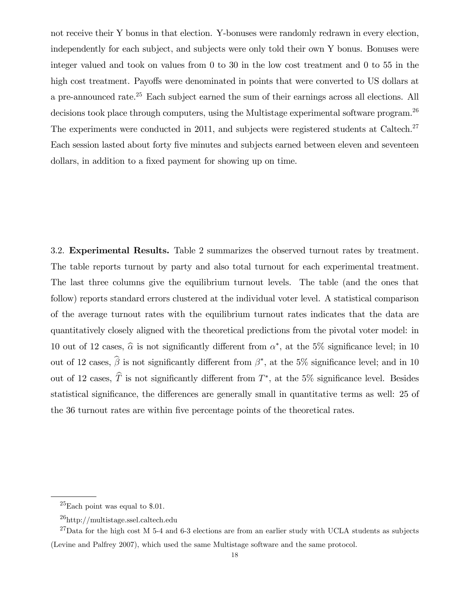not receive their Y bonus in that election. Y-bonuses were randomly redrawn in every election, independently for each subject, and subjects were only told their own Y bonus. Bonuses were integer valued and took on values from 0 to 30 in the low cost treatment and 0 to 55 in the high cost treatment. Payoffs were denominated in points that were converted to US dollars at a pre-announced rate.<sup>25</sup> Each subject earned the sum of their earnings across all elections. All decisions took place through computers, using the Multistage experimental software program.<sup>26</sup> The experiments were conducted in 2011, and subjects were registered students at Caltech.<sup>27</sup> Each session lasted about forty Öve minutes and subjects earned between eleven and seventeen dollars, in addition to a fixed payment for showing up on time.

3.2. Experimental Results. Table 2 summarizes the observed turnout rates by treatment. The table reports turnout by party and also total turnout for each experimental treatment. The last three columns give the equilibrium turnout levels. The table (and the ones that follow) reports standard errors clustered at the individual voter level. A statistical comparison of the average turnout rates with the equilibrium turnout rates indicates that the data are quantitatively closely aligned with the theoretical predictions from the pivotal voter model: in 10 out of 12 cases,  $\hat{\alpha}$  is not significantly different from  $\alpha^*$ , at the 5% significance level; in 10 out of 12 cases,  $\beta$  is not significantly different from  $\beta^*$ , at the 5% significance level; and in 10 out of 12 cases, T is not significantly different from  $T^*$ , at the 5% significance level. Besides statistical significance, the differences are generally small in quantitative terms as well: 25 of the 36 turnout rates are within Öve percentage points of the theoretical rates.

 ${}^{25}$ Each point was equal to \$.01.

<sup>26</sup>http://multistage.ssel.caltech.edu

 $^{27}$ Data for the high cost M 5-4 and 6-3 elections are from an earlier study with UCLA students as subjects (Levine and Palfrey 2007), which used the same Multistage software and the same protocol.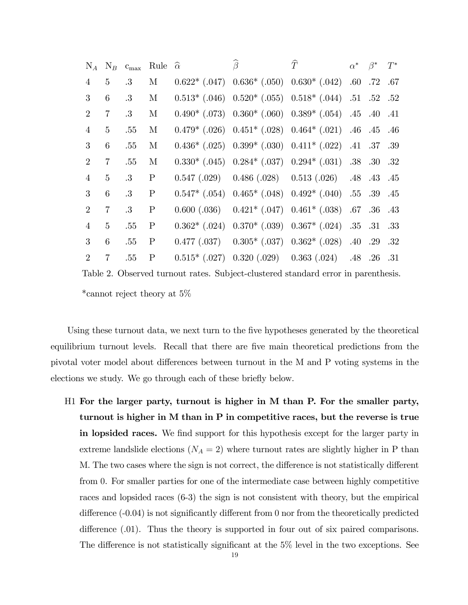|                             |                 |           | $N_A$ $N_B$ $c_{\text{max}}$ Rule | $\widehat{\alpha}$ | $\hat{\beta}$ | $\hat{T}$                                                               | $\alpha^*$ $\beta^*$ | $T^*$ |
|-----------------------------|-----------------|-----------|-----------------------------------|--------------------|---------------|-------------------------------------------------------------------------|----------------------|-------|
| $\overline{4}$              | $5\overline{)}$ | $\cdot$ 3 | М                                 |                    |               | $0.622*$ (.047) $0.636*$ (.050) $0.630*$ (.042) .60 .72 .67             |                      |       |
| 3                           | 6               | .3        | М                                 |                    |               | $0.513*$ $(.046)$ $0.520*$ $(.055)$ $0.518*$ $(.044)$ $.51$ $.52$ $.52$ |                      |       |
| $\mathcal{D}_{\mathcal{L}}$ | $\overline{7}$  | $\cdot$ 3 | М                                 |                    |               | $0.490*$ (.073) $0.360*$ (.060) $0.389*$ (.054) .45 .40 .41             |                      |       |
| $\overline{4}$              | $\overline{5}$  | .55       | М                                 |                    |               | $0.479*$ (.026) $0.451*$ (.028) $0.464*$ (.021) .46 .45 .46             |                      |       |
| 3                           | 6               | .55       | M                                 |                    |               | $0.436*$ $(.025)$ $0.399*$ $(.030)$ $0.411*$ $(.022)$ $.41$ $.37$ $.39$ |                      |       |
| $\overline{2}$              | $\overline{7}$  | .55       | М                                 |                    |               | $0.330*$ $(.045)$ $0.284*$ $(.037)$ $0.294*$ $(.031)$ $.38$ $.30$ $.32$ |                      |       |
| $\overline{4}$              | $\overline{5}$  | $\cdot$ 3 | $\mathbf P$                       |                    |               | $0.547$ (.029) $0.486$ (.028) $0.513$ (.026) .48 .43 .45                |                      |       |
| 3                           | 6               | .3        | $\mathbf P$                       |                    |               | $0.547*$ (.054) $0.465*$ (.048) $0.492*$ (.040) .55 .39 .45             |                      |       |
| $\mathcal{D}_{\mathcal{L}}$ | $\overline{7}$  | $\cdot$ 3 | $\mathbf P$                       |                    |               | $0.600(.036)$ $0.421*(.047)$ $0.461*(.038)$ .67 .36 .43                 |                      |       |
| $\overline{4}$              | $\overline{5}$  | .55       | $\mathbf P$                       |                    |               | $0.362*$ (.024) $0.370*$ (.039) $0.367*$ (.024) .35 .31 .33             |                      |       |
| 3                           | 6               | .55       | $\mathbf P$                       | $0.477$ $(.037)$   |               | $0.305*$ (.037) $0.362*$ (.028) .40 .29 .32                             |                      |       |
| $\mathcal{D}_{\mathcal{L}}$ | $\overline{7}$  | .55       | $\mathbf{P}$                      |                    |               | $0.515*$ $(.027)$ $0.320$ $(.029)$ $0.363$ $(.024)$ $.48$ $.26$ $.31$   |                      |       |
|                             |                 |           |                                   |                    |               |                                                                         |                      |       |

Table 2. Observed turnout rates. Subject-clustered standard error in parenthesis.

\*cannot reject theory at 5%

Using these turnout data, we next turn to the Öve hypotheses generated by the theoretical equilibrium turnout levels. Recall that there are Öve main theoretical predictions from the pivotal voter model about differences between turnout in the M and P voting systems in the elections we study. We go through each of these briefly below.

H1 For the larger party, turnout is higher in M than P. For the smaller party, turnout is higher in M than in P in competitive races, but the reverse is true in lopsided races. We find support for this hypothesis except for the larger party in extreme landslide elections  $(N_A = 2)$  where turnout rates are slightly higher in P than M. The two cases where the sign is not correct, the difference is not statistically different from 0. For smaller parties for one of the intermediate case between highly competitive races and lopsided races (6-3) the sign is not consistent with theory, but the empirical difference  $(-0.04)$  is not significantly different from 0 nor from the theoretically predicted difference  $(0.01)$ . Thus the theory is supported in four out of six paired comparisons. The difference is not statistically significant at the  $5\%$  level in the two exceptions. See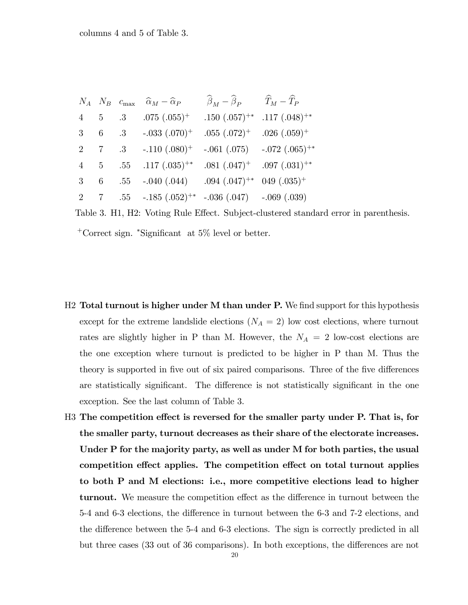| $N_A$ | $N_B$ | $c_{\text{max}}$ | $\widehat{\alpha}_M - \widehat{\alpha}_P$ | $\widehat{\beta}_M - \widehat{\beta}_P$ | $\widehat{T}_M - \widehat{T}_P$ |
|-------|-------|------------------|-------------------------------------------|-----------------------------------------|---------------------------------|
| 4     | 5     | .3               | .075 $(.055)^+$                           | .150 $(.057)^{++}$                      | .117 $(.048)^{++}$              |
| 3     | 6     | .3               | -.033 $(.070)^+$                          | .055 $(.072)^+$                         | .026 $(.059)^+$                 |
| 2     | 7     | .3               | -.110 $(.080)^+$                          | -.061 $(.075)$                          | -.072 $(.065)^{++}$             |
| 4     | 5     | .55              | .117 $(.035)^{++}$                        | .081 $(.047)^+$                         | .097 $(.031)^{++}$              |
| 3     | 6     | .55              | -.040 $(.044)$                            | .094 $(.047)^{++}$                      | 049 $(.035)^+$                  |
| 2     | 7     | .55              | -.185 $(.052)^{++}$                       | -.036 $(.047)$                          | -.069 $(.039)$                  |

Table 3. H1, H2: Voting Rule Effect. Subject-clustered standard error in parenthesis.

 $+$ Correct sign.  $*$ Significant at  $5\%$  level or better.

- $H2$  Total turnout is higher under M than under P. We find support for this hypothesis except for the extreme landslide elections  $(N_A = 2)$  low cost elections, where turnout rates are slightly higher in P than M. However, the  $N_A = 2$  low-cost elections are the one exception where turnout is predicted to be higher in P than M. Thus the theory is supported in five out of six paired comparisons. Three of the five differences are statistically significant. The difference is not statistically significant in the one exception. See the last column of Table 3.
- H3 The competition effect is reversed for the smaller party under P. That is, for the smaller party, turnout decreases as their share of the electorate increases. Under P for the majority party, as well as under M for both parties, the usual competition effect applies. The competition effect on total turnout applies to both P and M elections: i.e., more competitive elections lead to higher turnout. We measure the competition effect as the difference in turnout between the 5-4 and 6-3 elections, the difference in turnout between the 6-3 and 7-2 elections, and the difference between the 5-4 and 6-3 elections. The sign is correctly predicted in all but three cases (33 out of 36 comparisons). In both exceptions, the differences are not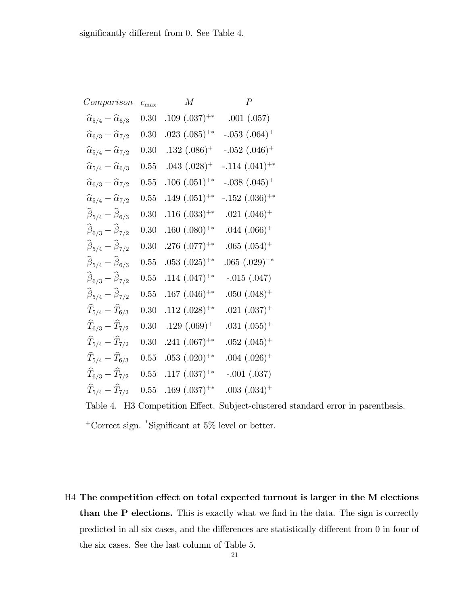| Comparison                                        | $c_{\max}$ | ${\cal M}$         | P                   |
|---------------------------------------------------|------------|--------------------|---------------------|
| $\widehat{\alpha}_{5/4} - \widehat{\alpha}_{6/3}$ | 0.30       | .109 $(.037)^{+*}$ | .001(.057)          |
| $\widehat{\alpha}_{6/3} - \widehat{\alpha}_{7/2}$ | 0.30       | .023 $(.085)^{+*}$ | $-.053$ $(.064)^+$  |
| $\widehat{\alpha}_{5/4} - \widehat{\alpha}_{7/2}$ | 0.30       | .132 $(.086)^+$    | $-.052$ $(.046)^+$  |
| $\widehat{\alpha}_{5/4} - \widehat{\alpha}_{6/3}$ | 0.55       | .043 $(.028)^+$    | $-.114 (.041)^{+*}$ |
| $\widehat{\alpha}_{6/3} - \widehat{\alpha}_{7/2}$ | 0.55       | $.106(.051)^{+*}$  | $-.038(.045)^+$     |
| $\widehat{\alpha}_{5/4} - \widehat{\alpha}_{7/2}$ | 0.55       | .149 $(.051)^{+*}$ | $-.152(.036)^{+*}$  |
| $\widehat{\beta}_{5/4} - \widehat{\beta}_{6/3}$   | 0.30       | .116 $(.033)^{+*}$ | .021 $(.046)^+$     |
| $\widehat{\beta}_{6/3} - \widehat{\beta}_{7/2}$   | 0.30       | $.160(.080)^{+*}$  | $.044(.066)^+$      |
| $\widehat{\beta}_{5/4} - \widehat{\beta}_{7/2}$   | 0.30       | .276 $(.077)^{+*}$ | $.065(.054)^+$      |
| $\widehat{\beta}_{5/4} - \widehat{\beta}_{6/3}$   | 0.55       | .053 $(.025)^{+*}$ | $.065(.029)^{+*}$   |
| $\widehat{\beta}_{6/3} - \widehat{\beta}_{7/2}$   | 0.55       | .114 $(.047)^{+*}$ | $-.015(.047)$       |
| $\widehat{\beta}_{5/4}-\widehat{\beta}_{7/2}$     | 0.55       | .167 $(.046)^{+*}$ | $.050(.048)^+$      |
| $\widehat{T}_{5/4} - \widehat{T}_{6/3}$           | 0.30       | .112 $(.028)^{+*}$ | $.021(.037)^+$      |
| $\widehat{T}_{6/3}-\widehat{T}_{7/2}$             | 0.30       | .129 $(.069)^+$    | .031 $(.055)^+$     |
| $\widehat{T}_{5/4}-\widehat{T}_{7/2}$             | 0.30       | .241 $(.067)^{+*}$ | $.052(.045)^+$      |
| $\widehat{T}_{5/4} - \widehat{T}_{6/3}$           | 0.55       | .053 $(.020)^{+*}$ | $.004(.026)^+$      |
| $\widehat{T}_{6/3} - \widehat{T}_{7/2}$           | 0.55       | .117 $(.037)^{+*}$ | $-.001(.037)$       |
| $\widehat{T}_{5/4} - \widehat{T}_{7/2}$           | 0.55       | .169 $(.037)^{+*}$ | $.003(.034)^+$      |
|                                                   |            |                    |                     |

Table 4. H3 Competition Effect. Subject-clustered standard error in parenthesis.

<sup>+</sup>Correct sign. <sup>\*</sup>Significant at 5% level or better.

H4 The competition effect on total expected turnout is larger in the M elections than the P elections. This is exactly what we find in the data. The sign is correctly predicted in all six cases, and the differences are statistically different from  $0$  in four of the six cases. See the last column of Table 5.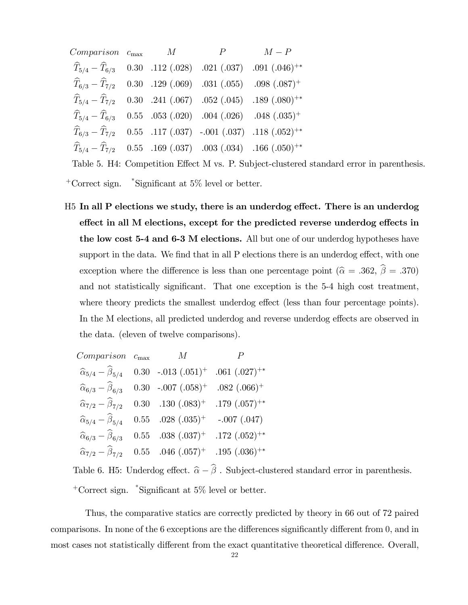| $Comparison$ $c_{\text{max}}$           | M | $\boldsymbol{P}$ | $M-P$                                                                                          |
|-----------------------------------------|---|------------------|------------------------------------------------------------------------------------------------|
|                                         |   |                  | $\widehat{T}_{5/4} - \widehat{T}_{6/3}$ 0.30 .112 (.028) .021 (.037) .091 (.046) <sup>+*</sup> |
|                                         |   |                  | $\widehat{T}_{6/3} - \widehat{T}_{7/2}$ 0.30 .129 (.069) .031 (.055) .098 (.087) <sup>+</sup>  |
|                                         |   |                  | $\widehat{T}_{5/4} - \widehat{T}_{7/2}$ 0.30 .241 (.067) .052 (.045) .189 (.080) <sup>+*</sup> |
|                                         |   |                  | $\widehat{T}_{5/4} - \widehat{T}_{6/3}$ 0.55 .053 (.020) .004 (.026) .048 (.035) <sup>+</sup>  |
| $\widehat{T}_{6/3} - \widehat{T}_{7/2}$ |   |                  | $0.55$ .117 (.037) -.001 (.037) .118 (.052) <sup>+*</sup>                                      |
|                                         |   |                  | $\widehat{T}_{5/4} - \widehat{T}_{7/2}$ 0.55 .169 (.037) .003 (.034) .166 (.050) <sup>+*</sup> |
|                                         |   |                  |                                                                                                |

Table 5. H4: Competition Effect M vs. P. Subject-clustered standard error in parenthesis.  $+$ Correct sign.  $\sigma$ <sup>\*</sup>Significant at 5\% level or better.

H<sub>5</sub> In all P elections we study, there is an underdog effect. There is an underdog effect in all M elections, except for the predicted reverse underdog effects in the low cost 5-4 and 6-3 M elections. All but one of our underdog hypotheses have support in the data. We find that in all P elections there is an underdog effect, with one exception where the difference is less than one percentage point  $(\hat{\alpha} = .362, \hat{\beta} = .370)$ and not statistically significant. That one exception is the 5-4 high cost treatment, where theory predicts the smallest underdog effect (less than four percentage points). In the M elections, all predicted underdog and reverse underdog effects are observed in the data. (eleven of twelve comparisons).

| Comparison                                                    | $c_{\text{max}}$ | $\overline{M}$                |                    |
|---------------------------------------------------------------|------------------|-------------------------------|--------------------|
| $\widehat{\alpha}_{5/4} - \widehat{\beta}_{5/4}$              | 0.30             | $-.013(.051)^+$               | $.061(.027)^{+*}$  |
| $\widehat{\alpha}_{6/3} - \widehat{\beta}_{6/3}$              |                  | $0.30 - 0.007$ $(.058)^+$     | $.082(.066)^+$     |
| $\widehat{\alpha}_{7/2} - \widehat{\boldsymbol{\beta}}_{7/2}$ |                  | $(0.30 \quad .130 \ (.083)^+$ | .179 $(.057)^{+*}$ |
| $\widehat{\alpha}_{5/4} - \widehat{\boldsymbol{\beta}}_{5/4}$ |                  | $0.55$ .028 $(.035)^+$        | $-.007$ $(.047)$   |
| $\widehat{\alpha}_{6/3} - \widehat{\beta}_{6/3}$              | 0.55             | $.038(.037)^+$                | .172 $(.052)^{+*}$ |
| $\widehat{\alpha}_{7/2} - \widehat{\boldsymbol{\beta}}_{7/2}$ |                  | $0.55$ .046 $(.057)^+$        | $.195(.036)^{+*}$  |
|                                                               |                  |                               |                    |

Table 6. H5: Underdog effect.  $\hat{\alpha} - \hat{\beta}$ . Subject-clustered standard error in parenthesis.  $+$ Correct sign.  $*$ Significant at 5% level or better.

Thus, the comparative statics are correctly predicted by theory in 66 out of 72 paired comparisons. In none of the 6 exceptions are the differences significantly different from  $0$ , and in most cases not statistically different from the exact quantitative theoretical difference. Overall,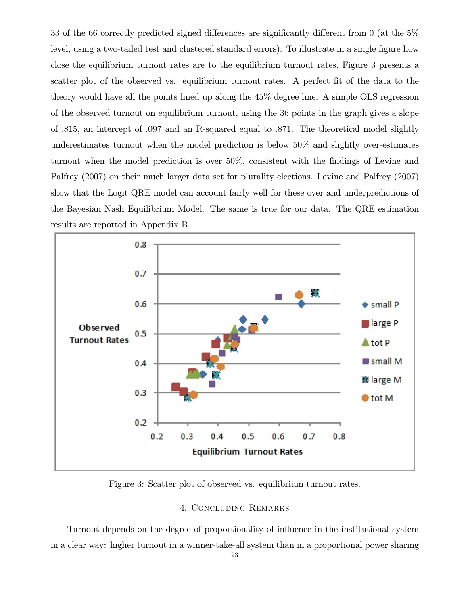33 of the 66 correctly predicted signed differences are significantly different from 0 (at the  $5\%$ level, using a two-tailed test and clustered standard errors). To illustrate in a single figure how close the equilibrium turnout rates are to the equilibrium turnout rates, Figure 3 presents a scatter plot of the observed vs. equilibrium turnout rates. A perfect fit of the data to the theory would have all the points lined up along the 45% degree line. A simple OLS regression of the observed turnout on equilibrium turnout, using the 36 points in the graph gives a slope of .815, an intercept of .097 and an R-squared equal to .871. The theoretical model slightly underestimates turnout when the model prediction is below 50% and slightly over-estimates turnout when the model prediction is over  $50\%$ , consistent with the findings of Levine and Palfrey (2007) on their much larger data set for plurality elections. Levine and Palfrey (2007) show that the Logit QRE model can account fairly well for these over and underpredictions of the Bayesian Nash Equilibrium Model. The same is true for our data. The QRE estimation results are reported in Appendix B.



Figure 3: Scatter plot of observed vs. equilibrium turnout rates.

## 4. Concluding Remarks

Turnout depends on the degree of proportionality of influence in the institutional system in a clear way: higher turnout in a winner-take-all system than in a proportional power sharing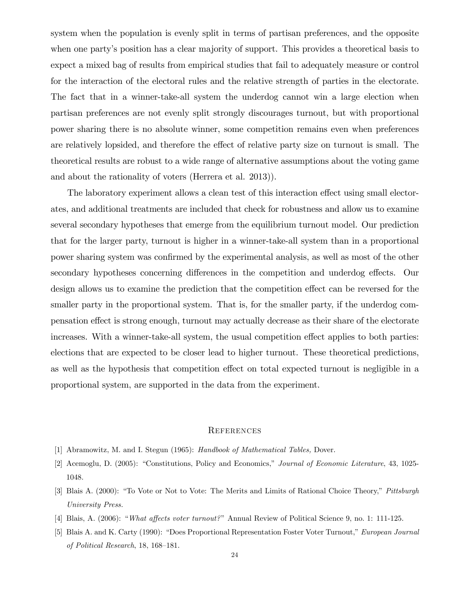system when the population is evenly split in terms of partisan preferences, and the opposite when one party's position has a clear majority of support. This provides a theoretical basis to expect a mixed bag of results from empirical studies that fail to adequately measure or control for the interaction of the electoral rules and the relative strength of parties in the electorate. The fact that in a winner-take-all system the underdog cannot win a large election when partisan preferences are not evenly split strongly discourages turnout, but with proportional power sharing there is no absolute winner, some competition remains even when preferences are relatively lopsided, and therefore the effect of relative party size on turnout is small. The theoretical results are robust to a wide range of alternative assumptions about the voting game and about the rationality of voters (Herrera et al. 2013)).

The laboratory experiment allows a clean test of this interaction effect using small electorates, and additional treatments are included that check for robustness and allow us to examine several secondary hypotheses that emerge from the equilibrium turnout model. Our prediction that for the larger party, turnout is higher in a winner-take-all system than in a proportional power sharing system was confirmed by the experimental analysis, as well as most of the other secondary hypotheses concerning differences in the competition and underdog effects. Our design allows us to examine the prediction that the competition effect can be reversed for the smaller party in the proportional system. That is, for the smaller party, if the underdog compensation effect is strong enough, turnout may actually decrease as their share of the electorate increases. With a winner-take-all system, the usual competition effect applies to both parties: elections that are expected to be closer lead to higher turnout. These theoretical predictions, as well as the hypothesis that competition effect on total expected turnout is negligible in a proportional system, are supported in the data from the experiment.

#### **REFERENCES**

- [1] Abramowitz, M. and I. Stegun (1965): Handbook of Mathematical Tables, Dover.
- [2] Acemoglu, D. (2005): "Constitutions, Policy and Economics," *Journal of Economic Literature*, 43, 1025-1048.
- [3] Blais A. (2000): "To Vote or Not to Vote: The Merits and Limits of Rational Choice Theory," Pittsburgh University Press.
- [4] Blais, A. (2006): "What affects voter turnout?" Annual Review of Political Science 9, no. 1: 111-125.
- [5] Blais A. and K. Carty (1990): "Does Proportional Representation Foster Voter Turnout," European Journal of Political Research, 18, 168–181.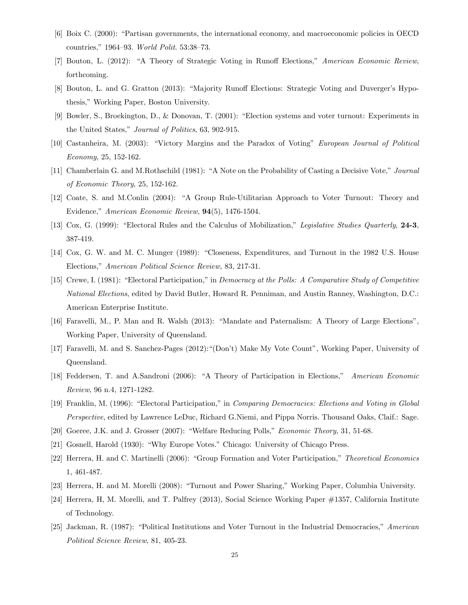- [6] Boix C. (2000): "Partisan governments, the international economy, and macroeconomic policies in OECD countries," 1964–93. World Polit. 53:38–73.
- [7] Bouton, L. (2012): "A Theory of Strategic Voting in Runoff Elections," American Economic Review, forthcoming.
- [8] Bouton, L. and G. Gratton (2013): "Majority Runoff Elections: Strategic Voting and Duverger's Hypothesis," Working Paper, Boston University.
- [9] Bowler, S., Broekington, D., & Donovan, T. (2001): "Election systems and voter turnout: Experiments in the United States," Journal of Politics, 63, 902-915.
- [10] Castanheira, M. (2003): "Victory Margins and the Paradox of Voting" European Journal of Political Economy, 25, 152-162.
- [11] Chamberlain G. and M.Rothschild (1981): "A Note on the Probability of Casting a Decisive Vote," Journal of Economic Theory, 25, 152-162.
- [12] Coate, S. and M.Conlin (2004): "A Group Rule-Utilitarian Approach to Voter Turnout: Theory and Evidence," American Economic Review,  $94(5)$ , 1476-1504.
- [13] Cox, G. (1999): "Electoral Rules and the Calculus of Mobilization," Legislative Studies Quarterly, 24-3, 387-419.
- [14] Cox, G. W. and M. C. Munger (1989): "Closeness, Expenditures, and Turnout in the 1982 U.S. House Elections," American Political Science Review, 83, 217-31.
- [15] Crewe, I. (1981): "Electoral Participation," in Democracy at the Polls: A Comparative Study of Competitive National Elections, edited by David Butler, Howard R. Penniman, and Austin Ranney, Washington, D.C.: American Enterprise Institute.
- [16] Faravelli, M., P. Man and R. Walsh (2013): "Mandate and Paternalism: A Theory of Large Elections", Working Paper, University of Queensland.
- [17] Faravelli, M. and S. Sanchez-Pages (2012):"(Don't) Make My Vote Count", Working Paper, University of Queensland.
- [18] Feddersen, T. and A.Sandroni (2006): "A Theory of Participation in Elections," American Economic Review, 96 n.4, 1271-1282.
- [19] Franklin, M. (1996): "Electoral Participation," in Comparing Democracies: Elections and Voting in Global Perspective, edited by Lawrence LeDuc, Richard G.Niemi, and Pippa Norris. Thousand Oaks, Claif.: Sage.
- [20] Goeree, J.K. and J. Grosser (2007): "Welfare Reducing Polls," *Economic Theory*, 31, 51-68.
- [21] Gosnell, Harold (1930): "Why Europe Votes." Chicago: University of Chicago Press.
- [22] Herrera, H. and C. Martinelli (2006): "Group Formation and Voter Participation," Theoretical Economics 1, 461-487.
- [23] Herrera, H. and M. Morelli (2008): "Turnout and Power Sharing," Working Paper, Columbia University.
- [24] Herrera, H, M. Morelli, and T. Palfrey (2013), Social Science Working Paper #1357, California Institute of Technology.
- [25] Jackman, R. (1987): "Political Institutions and Voter Turnout in the Industrial Democracies," American Political Science Review, 81, 405-23.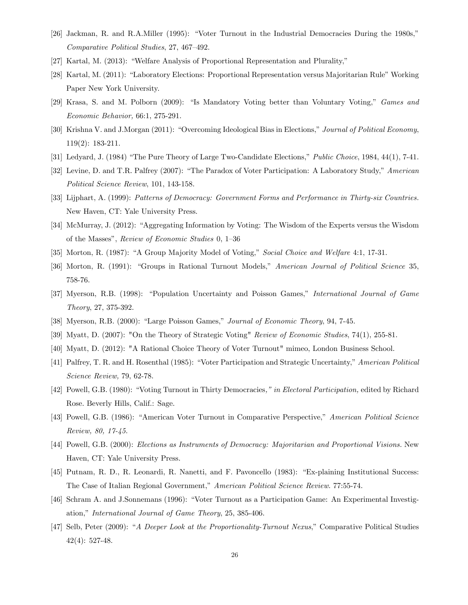- [26] Jackman, R. and R.A.Miller (1995): "Voter Turnout in the Industrial Democracies During the 1980s," Comparative Political Studies, 27, 467–492.
- $[27]$  Kartal, M.  $(2013)$ : "Welfare Analysis of Proportional Representation and Plurality,"
- [28] Kartal, M. (2011): "Laboratory Elections: Proportional Representation versus Majoritarian Rule" Working Paper New York University.
- [29] Krasa, S. and M. Polborn (2009): "Is Mandatory Voting better than Voluntary Voting," Games and Economic Behavior, 66:1, 275-291.
- [30] Krishna V. and J.Morgan (2011): "Overcoming Ideological Bias in Elections," Journal of Political Economy, 119(2): 183-211.
- [31] Ledyard, J. (1984) "The Pure Theory of Large Two-Candidate Elections," Public Choice, 1984,  $44(1)$ , 7-41.
- [32] Levine, D. and T.R. Palfrey (2007): "The Paradox of Voter Participation: A Laboratory Study," American Political Science Review, 101, 143-158.
- [33] Lijphart, A. (1999): Patterns of Democracy: Government Forms and Performance in Thirty-six Countries. New Haven, CT: Yale University Press.
- [34] McMurray, J. (2012): "Aggregating Information by Voting: The Wisdom of the Experts versus the Wisdom of the Masses", Review of Economic Studies  $0, 1-36$
- [35] Morton, R. (1987): "A Group Majority Model of Voting," Social Choice and Welfare 4:1, 17-31.
- [36] Morton, R. (1991): "Groups in Rational Turnout Models," American Journal of Political Science 35, 758-76.
- [37] Myerson, R.B. (1998): "Population Uncertainty and Poisson Games," International Journal of Game Theory, 27, 375-392.
- [38] Myerson, R.B. (2000): "Large Poisson Games," *Journal of Economic Theory*, 94, 7-45.
- [39] Myatt, D. (2007): "On the Theory of Strategic Voting" Review of Economic Studies, 74(1), 255-81.
- [40] Myatt, D. (2012): "A Rational Choice Theory of Voter Turnout" mimeo, London Business School.
- [41] Palfrey, T. R. and H. Rosenthal (1985): "Voter Participation and Strategic Uncertainty," American Political Science Review, 79, 62-78.
- [42] Powell, G.B. (1980): "Voting Turnout in Thirty Democracies," in Electoral Participation, edited by Richard Rose. Beverly Hills, Calif.: Sage.
- [43] Powell, G.B. (1986): "American Voter Turnout in Comparative Perspective," American Political Science Review, 80, 17-45.
- [44] Powell, G.B. (2000): Elections as Instruments of Democracy: Majoritarian and Proportional Visions. New Haven, CT: Yale University Press.
- [45] Putnam, R. D., R. Leonardi, R. Nanetti, and F. Pavoncello (1983): "Ex-plaining Institutional Success: The Case of Italian Regional Government," American Political Science Review. 77:55-74.
- [46] Schram A. and J.Sonnemans (1996): "Voter Turnout as a Participation Game: An Experimental Investigation," International Journal of Game Theory, 25, 385-406.
- [47] Selb, Peter (2009): "A Deeper Look at the Proportionality-Turnout Nexus," Comparative Political Studies 42(4): 527-48.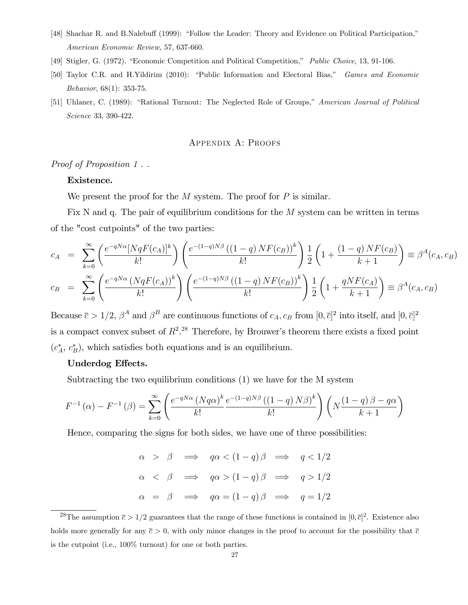- [48] Shachar R. and B.Nalebuff (1999): "Follow the Leader: Theory and Evidence on Political Participation," American Economic Review, 57, 637-660.
- [49] Stigler, G. (1972). "Economic Competition and Political Competition," Public Choice, 13, 91-106.
- [50] Taylor C.R. and H.Yildirim (2010): "Public Information and Electoral Bias," Games and Economic Behavior, 68(1): 353-75.
- [51] Uhlaner, C. (1989): "Rational Turnout: The Neglected Role of Groups," American Journal of Political Science 33, 390-422.

# Appendix A: Proofs

# Proof of Proposition 1...

### Existence.

We present the proof for the  $M$  system. The proof for  $P$  is similar.

Fix N and q. The pair of equilibrium conditions for the M system can be written in terms of the "cost cutpoints" of the two parties:

$$
c_A = \sum_{k=0}^{\infty} \left( \frac{e^{-qN\alpha} [NqF(c_A)]^k}{k!} \right) \left( \frac{e^{-(1-q)N\beta} ((1-q)NF(c_B))^k}{k!} \right) \frac{1}{2} \left( 1 + \frac{(1-q)NF(c_B)}{k+1} \right) \equiv \beta^A(c_A, c_B)
$$
  

$$
c_B = \sum_{k=0}^{\infty} \left( \frac{e^{-qN\alpha} (NqF(c_A))^k}{k!} \right) \left( \frac{e^{-(1-q)N\beta} ((1-q)NF(c_B))^k}{k!} \right) \frac{1}{2} \left( 1 + \frac{qNF(c_A)}{k+1} \right) \equiv \beta^A(c_A, c_B)
$$

Because  $\bar{c} > 1/2$ ,  $\beta^A$  and  $\beta^B$  are continuous functions of  $c_A$ ,  $c_B$  from  $[0,\bar{c}]^2$  into itself, and  $[0,\bar{c}]^2$ is a compact convex subset of  $R^2$ <sup>28</sup>. Therefore, by Brouwer's theorem there exists a fixed point  $(c_A^*, c_B^*)$ , which satisfies both equations and is an equilibrium.

#### Underdog Effects.

Subtracting the two equilibrium conditions (1) we have for the M system

$$
F^{-1}(\alpha) - F^{-1}(\beta) = \sum_{k=0}^{\infty} \left( \frac{e^{-qN\alpha} (Nq\alpha)^k}{k!} \frac{e^{-(1-q)N\beta} ((1-q)N\beta)^k}{k!} \right) \left( N \frac{(1-q)\beta - q\alpha}{k+1} \right)
$$

Hence, comparing the signs for both sides, we have one of three possibilities:

$$
\alpha > \beta \implies q\alpha < (1-q)\beta \implies q < 1/2
$$
  
\n
$$
\alpha < \beta \implies q\alpha > (1-q)\beta \implies q > 1/2
$$
  
\n
$$
\alpha = \beta \implies q\alpha = (1-q)\beta \implies q = 1/2
$$

<sup>28</sup>The assumption  $\bar{c} > 1/2$  guarantees that the range of these functions is contained in  $[0,\bar{c}]^2$ . Existence also holds more generally for any  $\bar{c} > 0$ , with only minor changes in the proof to account for the possibility that  $\bar{c}$ is the cutpoint (i.e., 100% turnout) for one or both parties.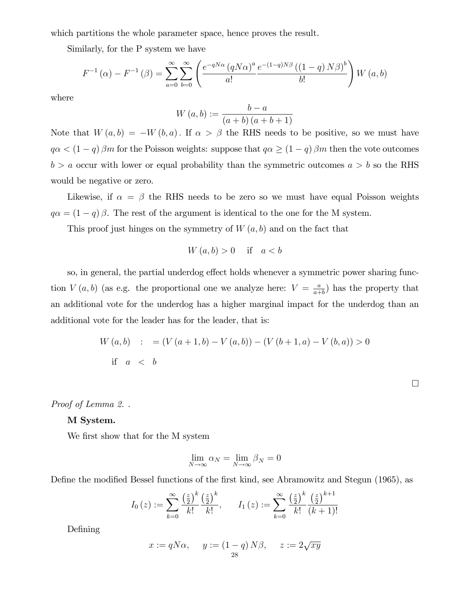which partitions the whole parameter space, hence proves the result.

Similarly, for the P system we have

$$
F^{-1}(\alpha) - F^{-1}(\beta) = \sum_{a=0}^{\infty} \sum_{b=0}^{\infty} \left( \frac{e^{-qN\alpha} (qN\alpha)^a}{a!} \frac{e^{-(1-q)N\beta} ((1-q)N\beta)^b}{b!} \right) W(a, b)
$$

where

$$
W\left(a,b\right) := \frac{b-a}{\left(a+b\right)\left(a+b+1\right)}
$$

Note that  $W(a, b) = -W(b, a)$ . If  $\alpha > \beta$  the RHS needs to be positive, so we must have  $q\alpha < (1-q)\beta m$  for the Poisson weights: suppose that  $q\alpha \geq (1-q)\beta m$  then the vote outcomes  $b > a$  occur with lower or equal probability than the symmetric outcomes  $a > b$  so the RHS would be negative or zero.

Likewise, if  $\alpha = \beta$  the RHS needs to be zero so we must have equal Poisson weights  $q\alpha = (1 - q)\beta$ . The rest of the argument is identical to the one for the M system.

This proof just hinges on the symmetry of  $W(a, b)$  and on the fact that

$$
W(a,b) > 0 \quad \text{if} \quad a < b
$$

so, in general, the partial underdog effect holds whenever a symmetric power sharing function  $V(a, b)$  (as e.g. the proportional one we analyze here:  $V = \frac{a}{a+1}$  $\frac{a}{a+b}$ ) has the property that an additional vote for the underdog has a higher marginal impact for the underdog than an additional vote for the leader has for the leader, that is:

$$
W (a, b) : = (V (a + 1, b) - V (a, b)) - (V (b + 1, a) - V (b, a)) > 0
$$
  
if  $a < b$ 

#### Proof of Lemma 2...

M System.

We first show that for the M system

$$
\lim_{N \to \infty} \alpha_N = \lim_{N \to \infty} \beta_N = 0
$$

Define the modified Bessel functions of the first kind, see Abramowitz and Stegun (1965), as

$$
I_0(z) := \sum_{k=0}^{\infty} \frac{\left(\frac{z}{2}\right)^k}{k!} \frac{\left(\frac{z}{2}\right)^k}{k!}, \qquad I_1(z) := \sum_{k=0}^{\infty} \frac{\left(\frac{z}{2}\right)^k}{k!} \frac{\left(\frac{z}{2}\right)^{k+1}}{(k+1)!}
$$

Defining

$$
x := qN\alpha
$$
,  $y := (1 - q) N\beta$ ,  $z := 2\sqrt{xy}$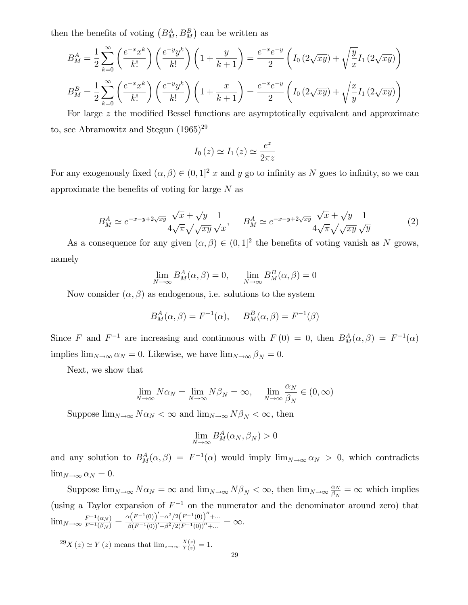then the benefits of voting  $(B_M^A, B_M^B)$  can be written as

$$
B_M^A = \frac{1}{2} \sum_{k=0}^{\infty} \left( \frac{e^{-x} x^k}{k!} \right) \left( \frac{e^{-y} y^k}{k!} \right) \left( 1 + \frac{y}{k+1} \right) = \frac{e^{-x} e^{-y}}{2} \left( I_0 \left( 2\sqrt{xy} \right) + \sqrt{\frac{y}{x}} I_1 \left( 2\sqrt{xy} \right) \right)
$$
  
\n
$$
B_M^B = \frac{1}{2} \sum_{k=0}^{\infty} \left( \frac{e^{-x} x^k}{k!} \right) \left( \frac{e^{-y} y^k}{k!} \right) \left( 1 + \frac{x}{k+1} \right) = \frac{e^{-x} e^{-y}}{2} \left( I_0 \left( 2\sqrt{xy} \right) + \sqrt{\frac{x}{y}} I_1 \left( 2\sqrt{xy} \right) \right)
$$

For large  $z$  the modified Bessel functions are asymptotically equivalent and approximate to, see Abramowitz and Stegun  $(1965)^{29}$ 

$$
I_0(z) \simeq I_1(z) \simeq \frac{e^z}{2\pi z}
$$

For any exogenously fixed  $(\alpha, \beta) \in (0, 1]^2$  x and y go to infinity as N goes to infinity, so we can approximate the benefits of voting for large  $N$  as

$$
B_M^A \simeq e^{-x-y+2\sqrt{xy}} \frac{\sqrt{x} + \sqrt{y}}{4\sqrt{\pi}\sqrt{\sqrt{xy}}} \frac{1}{\sqrt{x}}, \qquad B_M^A \simeq e^{-x-y+2\sqrt{xy}} \frac{\sqrt{x} + \sqrt{y}}{4\sqrt{\pi}\sqrt{\sqrt{xy}}} \frac{1}{\sqrt{y}}
$$
(2)

As a consequence for any given  $(\alpha, \beta) \in (0, 1]^2$  the benefits of voting vanish as N grows, namely

$$
\lim_{N \to \infty} B_M^A(\alpha, \beta) = 0, \qquad \lim_{N \to \infty} B_M^B(\alpha, \beta) = 0
$$

Now consider  $(\alpha, \beta)$  as endogenous, i.e. solutions to the system

$$
B_M^A(\alpha, \beta) = F^{-1}(\alpha), \qquad B_M^B(\alpha, \beta) = F^{-1}(\beta)
$$

Since F and  $F^{-1}$  are increasing and continuous with  $F(0) = 0$ , then  $B_M^A(\alpha, \beta) = F^{-1}(\alpha)$ implies  $\lim_{N\to\infty} \alpha_N = 0$ . Likewise, we have  $\lim_{N\to\infty} \beta_N = 0$ .

Next, we show that

$$
\lim_{N \to \infty} N \alpha_N = \lim_{N \to \infty} N \beta_N = \infty, \quad \lim_{N \to \infty} \frac{\alpha_N}{\beta_N} \in (0, \infty)
$$

Suppose  $\lim_{N\to\infty} N\alpha_N < \infty$  and  $\lim_{N\to\infty} N\beta_N < \infty$ , then

$$
\lim_{N \to \infty} B_M^A(\alpha_N, \beta_N) > 0
$$

and any solution to  $B_M^A(\alpha, \beta) = F^{-1}(\alpha)$  would imply  $\lim_{N \to \infty} \alpha_N > 0$ , which contradicts  $\lim_{N \to \infty} \alpha_N = 0.$ 

Suppose  $\lim_{N\to\infty} N\alpha_N = \infty$  and  $\lim_{N\to\infty} N\beta_N < \infty$ , then  $\lim_{N\to\infty} \frac{\alpha_N}{\beta_N}$  $\frac{\alpha_N}{\beta_N} = \infty$  which implies (using a Taylor expansion of  $F^{-1}$  on the numerator and the denominator around zero) that  $\lim_{N\to\infty}\frac{F^{-1}(\alpha_N)}{F^{-1}(\beta_N)}=\frac{\alpha\big(F^{-1}(0)\big)'+\alpha^2/2\big(F^{-1}(0)\big)''+...}{\beta(F^{-1}(0))'+\beta^2/2(F^{-1}(0))''+...}$  $\frac{\beta(F^{-1}(0))' + \beta^2/2(F^{-1}(0))' + \dots}{\beta(F^{-1}(0))' + \beta^2/2(F^{-1}(0))'' + \dots} = \infty.$ 

 $^{29}X(z) \simeq Y(z)$  means that  $\lim_{z \to \infty} \frac{X(z)}{Y(z)} = 1.$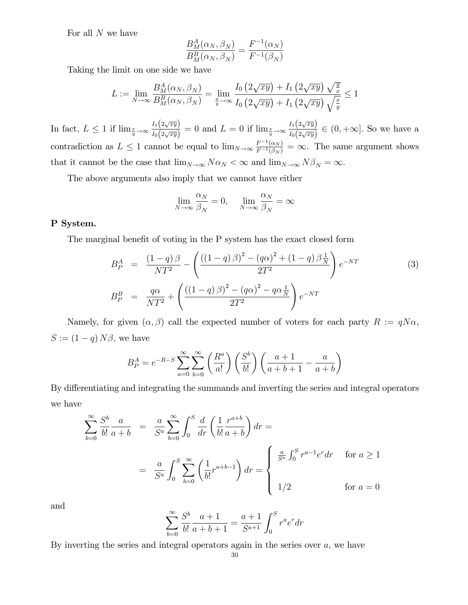For all  $\cal N$  we have

$$
\frac{B_M^A(\alpha_N, \beta_N)}{B_M^B(\alpha_N, \beta_N)} = \frac{F^{-1}(\alpha_N)}{F^{-1}(\beta_N)}
$$

Taking the limit on one side we have

$$
L := \lim_{N \to \infty} \frac{B_M^A(\alpha_N, \beta_N)}{B_M^B(\alpha_N, \beta_N)} = \lim_{\frac{x}{y} \to \infty} \frac{I_0(2\sqrt{xy}) + I_1(2\sqrt{xy})\sqrt{\frac{y}{x}}}{I_0(2\sqrt{xy}) + I_1(2\sqrt{xy})\sqrt{\frac{x}{y}}} \le 1
$$

In fact,  $L \leq 1$  if  $\lim_{\frac{x}{y} \to \infty}$  $I_1\left(2\sqrt{xy}\right)$  $\frac{I_1(\Delta \sqrt{xy})}{I_0(\Delta \sqrt{xy})} = 0$  and  $L = 0$  if  $\lim_{\frac{x}{y} \to \infty}$  $I_1\left(2\sqrt{xy}\right)$  $\frac{I_1(2\sqrt{xy})}{I_0(2\sqrt{xy})} \in (0, +\infty]$ . So we have a contradiction as  $L \leq 1$  cannot be equal to  $\lim_{N \to \infty} \frac{F^{-1}(\alpha_N)}{F^{-1}(\beta_N)} = \infty$ . The same argument shows that it cannot be the case that  $\lim_{N\to\infty} N\alpha_N < \infty$  and  $\lim_{N\to\infty} N\beta_N = \infty$ .

The above arguments also imply that we cannot have either

$$
\lim_{N \to \infty} \frac{\alpha_N}{\beta_N} = 0, \quad \lim_{N \to \infty} \frac{\alpha_N}{\beta_N} = \infty
$$

#### P System.

The marginal benefit of voting in the P system has the exact closed form

$$
B_P^A = \frac{(1-q)\beta}{NT^2} - \left(\frac{((1-q)\beta)^2 - (q\alpha)^2 + (1-q)\beta \frac{1}{N}}{2T^2}\right) e^{-NT}
$$
  
\n
$$
B_P^B = \frac{q\alpha}{NT^2} + \left(\frac{((1-q)\beta)^2 - (q\alpha)^2 - q\alpha \frac{1}{N}}{2T^2}\right) e^{-NT}
$$
\n(3)

Namely, for given  $(\alpha, \beta)$  call the expected number of voters for each party  $R := qN\alpha$ ,  $S := (1 - q) N\beta$ , we have

$$
B_P^A = e^{-R-S} \sum_{a=0}^{\infty} \sum_{b=0}^{\infty} \left( \frac{R^a}{a!} \right) \left( \frac{S^b}{b!} \right) \left( \frac{a+1}{a+b+1} - \frac{a}{a+b} \right)
$$

By differentiating and integrating the summands and inverting the series and integral operators we have

$$
\sum_{b=0}^{\infty} \frac{S^b}{b!} \frac{a}{a+b} = \frac{a}{S^a} \sum_{b=0}^{\infty} \int_0^S \frac{d}{dr} \left( \frac{1}{b!} \frac{r^{a+b}}{a+b} \right) dr =
$$
  

$$
= \frac{a}{S^a} \int_0^S \sum_{b=0}^{\infty} \left( \frac{1}{b!} r^{a+b-1} \right) dr = \begin{cases} \frac{a}{S^a} \int_0^S r^{a-1} e^r dr & \text{for } a \ge 1 \\ 1/2 & \text{for } a = 0 \end{cases}
$$

and

$$
\sum_{b=0}^{\infty} \frac{S^b}{b!} \frac{a+1}{a+b+1} = \frac{a+1}{S^{a+1}} \int_0^S r^a e^r dr
$$

By inverting the series and integral operators again in the series over  $a$ , we have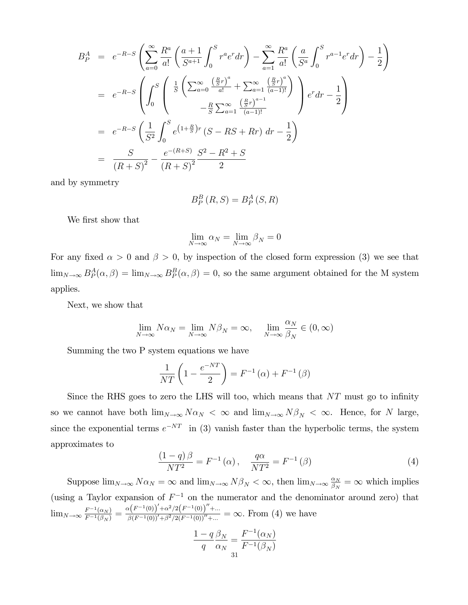$$
B_P^A = e^{-R-S} \left( \sum_{a=0}^{\infty} \frac{R^a}{a!} \left( \frac{a+1}{S^{a+1}} \int_0^S r^a e^r dr \right) - \sum_{a=1}^{\infty} \frac{R^a}{a!} \left( \frac{a}{S^a} \int_0^S r^{a-1} e^r dr \right) - \frac{1}{2} \right)
$$
  
\n
$$
= e^{-R-S} \left( \int_0^S \left( \frac{\frac{1}{S} \left( \sum_{a=0}^{\infty} \frac{\left( \frac{R}{S} r \right)^a}{a!} + \sum_{a=1}^{\infty} \frac{\left( \frac{R}{S} r \right)^a}{(a-1)!} \right)}{-\frac{R}{S} \sum_{a=1}^{\infty} \frac{\left( \frac{R}{S} r \right)^{a-1}}{(a-1)!}} \right) e^r dr - \frac{1}{2} \right)
$$
  
\n
$$
= e^{-R-S} \left( \frac{1}{S^2} \int_0^S e^{(1+\frac{R}{S})r} (S - RS + Rr) dr - \frac{1}{2} \right)
$$
  
\n
$$
= \frac{S}{(R+S)^2} - \frac{e^{-(R+S)}}{(R+S)^2} \frac{S^2 - R^2 + S}{2}
$$

and by symmetry

$$
B_P^B(R, S) = B_P^A(S, R)
$$

We first show that

$$
\lim_{N \to \infty} \alpha_N = \lim_{N \to \infty} \beta_N = 0
$$

For any fixed  $\alpha > 0$  and  $\beta > 0$ , by inspection of the closed form expression (3) we see that  $\lim_{N\to\infty} B_P^A(\alpha, \beta) = \lim_{N\to\infty} B_P^B(\alpha, \beta) = 0$ , so the same argument obtained for the M system applies.

Next, we show that

$$
\lim_{N \to \infty} N \alpha_N = \lim_{N \to \infty} N \beta_N = \infty, \quad \lim_{N \to \infty} \frac{\alpha_N}{\beta_N} \in (0, \infty)
$$

Summing the two P system equations we have

$$
\frac{1}{NT}\left(1 - \frac{e^{-NT}}{2}\right) = F^{-1}(\alpha) + F^{-1}(\beta)
$$

Since the RHS goes to zero the LHS will too, which means that  $NT$  must go to infinity so we cannot have both  $\lim_{N\to\infty} N\alpha_N < \infty$  and  $\lim_{N\to\infty} N\beta_N < \infty$ . Hence, for N large, since the exponential terms  $e^{-NT}$  in (3) vanish faster than the hyperbolic terms, the system approximates to

$$
\frac{(1-q)\beta}{NT^2} = F^{-1}(\alpha), \quad \frac{q\alpha}{NT^2} = F^{-1}(\beta)
$$
\n
$$
(4)
$$

Suppose  $\lim_{N\to\infty} N\alpha_N = \infty$  and  $\lim_{N\to\infty} N\beta_N < \infty$ , then  $\lim_{N\to\infty} \frac{\alpha_N}{\beta_N}$  $\frac{\alpha_N}{\beta_N} = \infty$  which implies (using a Taylor expansion of  $F^{-1}$  on the numerator and the denominator around zero) that  $\lim_{N\to\infty}\frac{F^{-1}(\alpha_N)}{F^{-1}(\beta_N)}=\frac{\alpha(F^{-1}(0))'+\alpha^2/2(F^{-1}(0))''+...}{\beta(F^{-1}(0))'+\beta^2/2(F^{-1}(0))''+...}$  $\frac{\beta(F^{-1}(0)) + \alpha^{2}(F^{-1}(0)) + \dots}{\beta(F^{-1}(0))' + \beta^{2}(2(F^{-1}(0))' + \dots} = \infty$ . From (4) we have

$$
\frac{1-q}{q} \frac{\beta_N}{\alpha_N} = \frac{F^{-1}(\alpha_N)}{F^{-1}(\beta_N)}
$$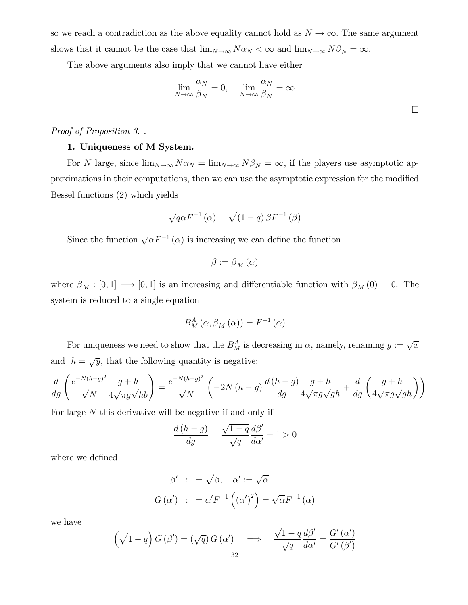so we reach a contradiction as the above equality cannot hold as  $N \to \infty$ . The same argument shows that it cannot be the case that  $\lim_{N\to\infty} N\alpha_N < \infty$  and  $\lim_{N\to\infty} N\beta_N = \infty$ .

The above arguments also imply that we cannot have either

$$
\lim_{N \to \infty} \frac{\alpha_N}{\beta_N} = 0, \quad \lim_{N \to \infty} \frac{\alpha_N}{\beta_N} = \infty
$$

Proof of Proposition 3...

### 1. Uniqueness of M System.

For N large, since  $\lim_{N\to\infty} N\alpha_N = \lim_{N\to\infty} N\beta_N = \infty$ , if the players use asymptotic approximations in their computations, then we can use the asymptotic expression for the modified Bessel functions (2) which yields

$$
\sqrt{q\alpha}F^{-1}(\alpha) = \sqrt{(1-q)\beta}F^{-1}(\beta)
$$

Since the function  $\sqrt{\alpha} F^{-1}(\alpha)$  is increasing we can define the function

$$
\beta := \beta_M(\alpha)
$$

where  $\beta_M : [0,1] \longrightarrow [0,1]$  is an increasing and differentiable function with  $\beta_M(0) = 0$ . The system is reduced to a single equation

$$
B_M^A(\alpha, \beta_M(\alpha)) = F^{-1}(\alpha)
$$

For uniqueness we need to show that the  $B_M^A$  is decreasing in  $\alpha$ , namely, renaming  $g := \sqrt{x}$ and  $h = \sqrt{y}$ , that the following quantity is negative:

$$
\frac{d}{dg}\left(\frac{e^{-N(h-g)^2}}{\sqrt{N}}\frac{g+h}{4\sqrt{\pi}g\sqrt{hb}}\right) = \frac{e^{-N(h-g)^2}}{\sqrt{N}}\left(-2N\left(h-g\right)\frac{d\left(h-g\right)}{dg}\frac{g+h}{4\sqrt{\pi}g\sqrt{gh}} + \frac{d}{dg}\left(\frac{g+h}{4\sqrt{\pi}g\sqrt{gh}}\right)\right)
$$

For large N this derivative will be negative if and only if

$$
\frac{d\left(h-g\right)}{dg} = \frac{\sqrt{1-q}}{\sqrt{q}} \frac{d\beta'}{d\alpha'} - 1 > 0
$$

where we defined

$$
\beta' : = \sqrt{\beta}, \quad \alpha' := \sqrt{\alpha}
$$

$$
G(\alpha') : = \alpha' F^{-1} ((\alpha')^2) = \sqrt{\alpha} F^{-1}(\alpha)
$$

we have

$$
\left(\sqrt{1-q}\right)G\left(\beta'\right) = \left(\sqrt{q}\right)G\left(\alpha'\right) \implies \frac{\sqrt{1-q} \, d\beta'}{\sqrt{q} \, d\alpha'} = \frac{G'\left(\alpha'\right)}{G'\left(\beta'\right)}
$$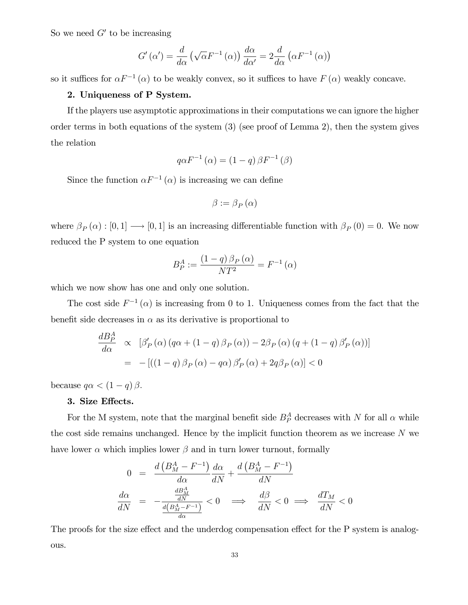So we need  $G'$  to be increasing

$$
G'(\alpha') = \frac{d}{d\alpha} \left( \sqrt{\alpha} F^{-1}(\alpha) \right) \frac{d\alpha}{d\alpha'} = 2 \frac{d}{d\alpha} \left( \alpha F^{-1}(\alpha) \right)
$$

so it suffices for  $\alpha F^{-1}(\alpha)$  to be weakly convex, so it suffices to have  $F(\alpha)$  weakly concave.

## 2. Uniqueness of P System.

If the players use asymptotic approximations in their computations we can ignore the higher order terms in both equations of the system (3) (see proof of Lemma 2), then the system gives the relation

$$
q\alpha F^{-1}(\alpha) = (1-q)\beta F^{-1}(\beta)
$$

Since the function  $\alpha F^{-1}(\alpha)$  is increasing we can define

$$
\beta:=\beta_P(\alpha)
$$

where  $\beta_P(\alpha) : [0,1] \longrightarrow [0,1]$  is an increasing differentiable function with  $\beta_P(0) = 0$ . We now reduced the P system to one equation

$$
B_P^A := \frac{(1-q)\beta_P(\alpha)}{NT^2} = F^{-1}(\alpha)
$$

which we now show has one and only one solution.

The cost side  $F^{-1}(\alpha)$  is increasing from 0 to 1. Uniqueness comes from the fact that the benefit side decreases in  $\alpha$  as its derivative is proportional to

$$
\frac{dB_P^A}{d\alpha} \propto [\beta'_P(\alpha) (q\alpha + (1-q)\beta_P(\alpha)) - 2\beta_P(\alpha) (q + (1-q)\beta'_P(\alpha))]
$$

$$
= -[((1-q)\beta_P(\alpha) - q\alpha)\beta'_P(\alpha) + 2q\beta_P(\alpha)] < 0
$$

because  $q\alpha < (1-q)\beta$ .

### 3. Size Effects.

For the M system, note that the marginal benefit side  $B_P^A$  decreases with N for all  $\alpha$  while the cost side remains unchanged. Hence by the implicit function theorem as we increase  $N$  we have lower  $\alpha$  which implies lower  $\beta$  and in turn lower turnout, formally

$$
0 = \frac{d\left(B_M^A - F^{-1}\right)}{d\alpha} \frac{d\alpha}{dN} + \frac{d\left(B_M^A - F^{-1}\right)}{dN}
$$

$$
\frac{d\alpha}{dN} = -\frac{\frac{dB_M^A}{dN}}{\frac{d\left(B_M^A - F^{-1}\right)}{d\alpha}} < 0 \implies \frac{d\beta}{dN} < 0 \implies \frac{dT_M}{dN} < 0
$$

The proofs for the size effect and the underdog compensation effect for the P system is analogous.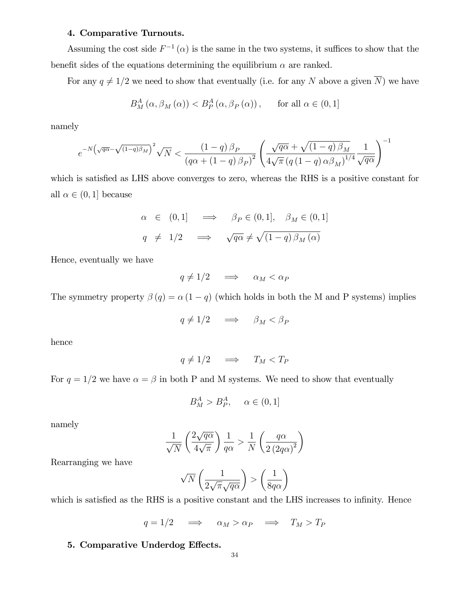## 4. Comparative Turnouts.

Assuming the cost side  $F^{-1}(\alpha)$  is the same in the two systems, it suffices to show that the benefit sides of the equations determining the equilibrium  $\alpha$  are ranked.

For any  $q \neq 1/2$  we need to show that eventually (i.e. for any N above a given  $\overline{N}$ ) we have

$$
B_M^A(\alpha, \beta_M(\alpha)) < B_P^A(\alpha, \beta_P(\alpha)), \quad \text{for all } \alpha \in (0, 1]
$$

namely

$$
e^{-N\left(\sqrt{q\alpha}-\sqrt{(1-q)\beta_M}\right)^2}\sqrt{N} < \frac{\left(1-q\right)\beta_P}{\left(q\alpha+\left(1-q\right)\beta_P\right)^2}\left(\frac{\sqrt{q\alpha}+\sqrt{\left(1-q\right)\beta_M}}{4\sqrt{\pi}\left(q\left(1-q\right)\alpha\beta_M\right)^{1/4}}\frac{1}{\sqrt{q\alpha}}\right)^{-1}
$$

which is satisfied as LHS above converges to zero, whereas the RHS is a positive constant for all  $\alpha \in (0, 1]$  because

$$
\alpha \in (0,1] \implies \beta_P \in (0,1], \beta_M \in (0,1]
$$
  

$$
q \neq 1/2 \implies \sqrt{q\alpha} \neq \sqrt{(1-q)\beta_M(\alpha)}
$$

Hence, eventually we have

$$
q \neq 1/2 \quad \implies \quad \alpha_M < \alpha_P
$$

The symmetry property  $\beta(q) = \alpha(1-q)$  (which holds in both the M and P systems) implies

$$
q \neq 1/2 \quad \implies \quad \beta_M < \beta_P
$$

hence

$$
q \neq 1/2 \quad \implies \quad T_M < T_P
$$

For  $q = 1/2$  we have  $\alpha = \beta$  in both P and M systems. We need to show that eventually

$$
B_M^A > B_P^A, \quad \alpha \in (0, 1]
$$

namely

$$
\frac{1}{\sqrt{N}} \left( \frac{2\sqrt{q\alpha}}{4\sqrt{\pi}} \right) \frac{1}{q\alpha} > \frac{1}{N} \left( \frac{q\alpha}{2 \left( 2q\alpha \right)^2} \right)
$$

Rearranging we have

$$
\sqrt{N}\left(\frac{1}{2\sqrt{\pi}\sqrt{q\alpha}}\right) > \left(\frac{1}{8q\alpha}\right)
$$

which is satisfied as the RHS is a positive constant and the LHS increases to infinity. Hence

$$
q = 1/2 \quad \implies \quad \alpha_M > \alpha_P \quad \implies \quad T_M > T_P
$$

### 5. Comparative Underdog Effects.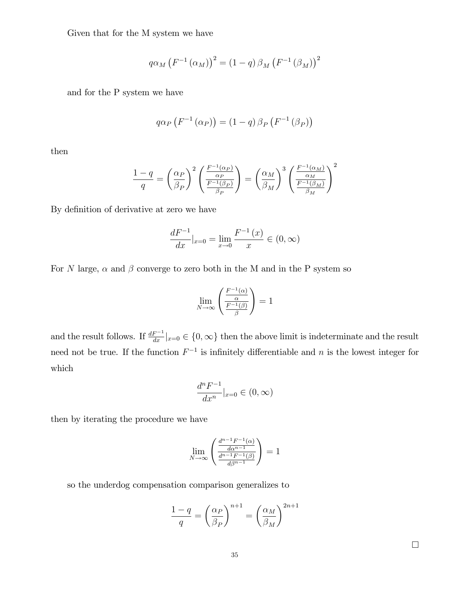Given that for the M system we have

$$
q\alpha_M \left(F^{-1}\left(\alpha_M\right)\right)^2 = \left(1-q\right)\beta_M \left(F^{-1}\left(\beta_M\right)\right)^2
$$

and for the P system we have

$$
q\alpha_P\left(F^{-1}\left(\alpha_P\right)\right) = \left(1-q\right)\beta_P\left(F^{-1}\left(\beta_P\right)\right)
$$

then

$$
\frac{1-q}{q} = \left(\frac{\alpha_P}{\beta_P}\right)^2 \left(\frac{\frac{F^{-1}(\alpha_P)}{\alpha_P}}{\frac{F^{-1}(\beta_P)}{\beta_P}}\right) = \left(\frac{\alpha_M}{\beta_M}\right)^3 \left(\frac{\frac{F^{-1}(\alpha_M)}{\alpha_M}}{\frac{F^{-1}(\beta_M)}{\beta_M}}\right)^2
$$

By definition of derivative at zero we have

$$
\frac{dF^{-1}}{dx}|_{x=0} = \lim_{x \to 0} \frac{F^{-1}(x)}{x} \in (0, \infty)
$$

For N large,  $\alpha$  and  $\beta$  converge to zero both in the M and in the P system so

$$
\lim_{N \to \infty} \left( \frac{\frac{F^{-1}(\alpha)}{\alpha}}{\frac{F^{-1}(\beta)}{\beta}} \right) = 1
$$

and the result follows. If  $\frac{dF^{-1}}{dx}|_{x=0} \in \{0,\infty\}$  then the above limit is indeterminate and the result need not be true. If the function  $F^{-1}$  is infinitely differentiable and n is the lowest integer for which

$$
\frac{d^n F^{-1}}{dx^n}|_{x=0} \in (0, \infty)
$$

then by iterating the procedure we have

$$
\lim_{N \to \infty} \left( \frac{\frac{d^{n-1} F^{-1}(\alpha)}{d\alpha^{n-1}}}{\frac{d^{n-1} F^{-1}(\beta)}{d\beta^{n-1}}} \right) = 1
$$

so the underdog compensation comparison generalizes to

$$
\frac{1-q}{q} = \left(\frac{\alpha_P}{\beta_P}\right)^{n+1} = \left(\frac{\alpha_M}{\beta_M}\right)^{2n+1}
$$

 $\Box$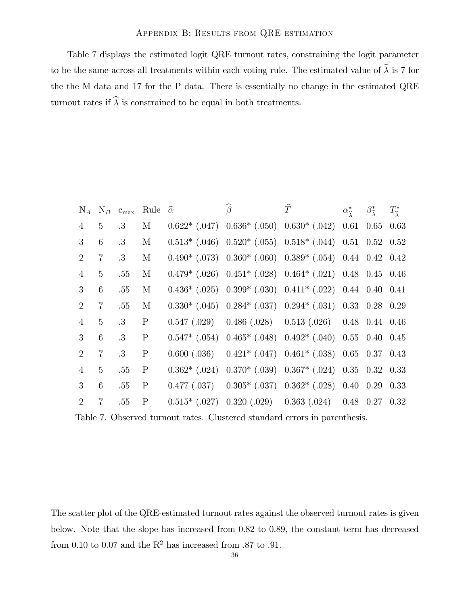# Appendix B: Results from QRE estimation

Table 7 displays the estimated logit QRE turnout rates, constraining the logit parameter to be the same across all treatments within each voting rule. The estimated value of  $\hat{\lambda}$  is 7 for the the M data and 17 for the P data. There is essentially no change in the estimated QRE turnout rates if  $\widehat{\lambda}$  is constrained to be equal in both treatments.

|                |                 | $N_A$ $N_B$ $c_{max}$ | Rule $\hat{\alpha}$ |  | $\widehat{T}$                                                              | $\alpha_{\widehat{1}}^*$ $\beta_{\widehat{1}}^*$ $T_{\widehat{1}}^*$ |  |
|----------------|-----------------|-----------------------|---------------------|--|----------------------------------------------------------------------------|----------------------------------------------------------------------|--|
| $\overline{4}$ | 5 <sup>5</sup>  | $\cdot$ 3             | М                   |  | $0.622*$ (.047) $0.636*$ (.050) $0.630*$ (.042) 0.61 0.65 0.63             |                                                                      |  |
| 3              | 6               | $\cdot$ 3             | М                   |  | $0.513*$ (.046) $0.520*$ (.055) $0.518*$ (.044) 0.51 0.52 0.52             |                                                                      |  |
| $\overline{2}$ | $7\overline{ }$ | $\cdot$ 3             | М                   |  | $0.490*$ $(.073)$ $0.360*$ $(.060)$ $0.389*$ $(.054)$ $0.44$ $0.42$ $0.42$ |                                                                      |  |
| $\overline{4}$ | $5\overline{)}$ | .55                   | М                   |  | $0.479*$ (.026) $0.451*$ (.028) $0.464*$ (.021) 0.48 0.45 0.46             |                                                                      |  |
| 3 <sup>2</sup> | 6               | .55                   | М                   |  | $0.436*$ (.025) $0.399*$ (.030) $0.411*$ (.022) 0.44 0.40 0.41             |                                                                      |  |
| $\overline{2}$ | $\overline{7}$  | .55                   | М                   |  | $0.330*$ $(.045)$ $0.284*$ $(.037)$ $0.294*$ $(.031)$ $0.33$ $0.28$ $0.29$ |                                                                      |  |
| $\overline{4}$ | 5 <sup>5</sup>  | $.3\phantom{0}$       | $\mathbf P$         |  | $0.547$ (.029) $0.486$ (.028) $0.513$ (.026) $0.48$ 0.44 0.46              |                                                                      |  |
| 3              | 6               | $.3\phantom{0}$       | $\mathbf P$         |  | $0.547*$ (.054) $0.465*$ (.048) $0.492*$ (.040) 0.55 0.40 0.45             |                                                                      |  |
| $\overline{2}$ | $\overline{7}$  | $\cdot$ 3             | $\mathbf P$         |  | $0.600(.036)$ $0.421*(.047)$ $0.461*(.038)$ $0.65$ $0.37$ $0.43$           |                                                                      |  |
| $\overline{4}$ | $5\overline{)}$ | .55                   | $\mathbf{P}$        |  | $0.362*$ (.024) $0.370*$ (.039) $0.367*$ (.024) $0.35$ 0.32 0.33           |                                                                      |  |
| $\mathbf{3}$   | 6               | .55                   | P                   |  | $0.477$ (.037) $0.305*$ (.037) $0.362*$ (.028) 0.40 0.29 0.33              |                                                                      |  |
| $\overline{2}$ | $\overline{7}$  | .55                   | P                   |  | $0.515*$ $(.027)$ $0.320$ $(.029)$ $0.363$ $(.024)$ $0.48$ $0.27$ $0.32$   |                                                                      |  |
|                |                 |                       |                     |  |                                                                            |                                                                      |  |

Table 7. Observed turnout rates. Clustered standard errors in parenthesis.

The scatter plot of the QRE-estimated turnout rates against the observed turnout rates is given below. Note that the slope has increased from 0.82 to 0.89, the constant term has decreased from 0.10 to 0.07 and the  $\mathbb{R}^2$  has increased from .87 to .91.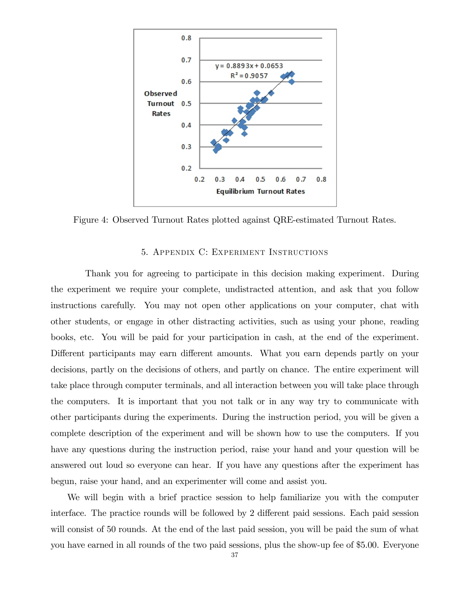

Figure 4: Observed Turnout Rates plotted against QRE-estimated Turnout Rates.

# 5. Appendix C: Experiment Instructions

Thank you for agreeing to participate in this decision making experiment. During the experiment we require your complete, undistracted attention, and ask that you follow instructions carefully. You may not open other applications on your computer, chat with other students, or engage in other distracting activities, such as using your phone, reading books, etc. You will be paid for your participation in cash, at the end of the experiment. Different participants may earn different amounts. What you earn depends partly on your decisions, partly on the decisions of others, and partly on chance. The entire experiment will take place through computer terminals, and all interaction between you will take place through the computers. It is important that you not talk or in any way try to communicate with other participants during the experiments. During the instruction period, you will be given a complete description of the experiment and will be shown how to use the computers. If you have any questions during the instruction period, raise your hand and your question will be answered out loud so everyone can hear. If you have any questions after the experiment has begun, raise your hand, and an experimenter will come and assist you.

We will begin with a brief practice session to help familiarize you with the computer interface. The practice rounds will be followed by 2 different paid sessions. Each paid session will consist of 50 rounds. At the end of the last paid session, you will be paid the sum of what you have earned in all rounds of the two paid sessions, plus the show-up fee of \$5.00. Everyone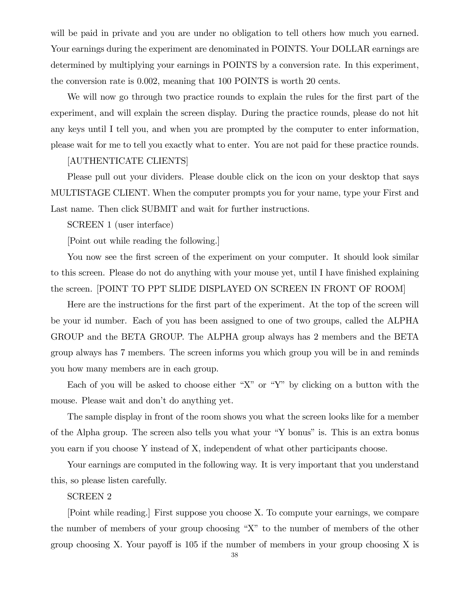will be paid in private and you are under no obligation to tell others how much you earned. Your earnings during the experiment are denominated in POINTS. Your DOLLAR earnings are determined by multiplying your earnings in POINTS by a conversion rate. In this experiment, the conversion rate is 0.002, meaning that 100 POINTS is worth 20 cents.

We will now go through two practice rounds to explain the rules for the first part of the experiment, and will explain the screen display. During the practice rounds, please do not hit any keys until I tell you, and when you are prompted by the computer to enter information, please wait for me to tell you exactly what to enter. You are not paid for these practice rounds.

### [AUTHENTICATE CLIENTS]

Please pull out your dividers. Please double click on the icon on your desktop that says MULTISTAGE CLIENT. When the computer prompts you for your name, type your First and Last name. Then click SUBMIT and wait for further instructions.

SCREEN 1 (user interface)

[Point out while reading the following.]

You now see the first screen of the experiment on your computer. It should look similar to this screen. Please do not do anything with your mouse yet, until I have finished explaining the screen. [POINT TO PPT SLIDE DISPLAYED ON SCREEN IN FRONT OF ROOM]

Here are the instructions for the first part of the experiment. At the top of the screen will be your id number. Each of you has been assigned to one of two groups, called the ALPHA GROUP and the BETA GROUP. The ALPHA group always has 2 members and the BETA group always has 7 members. The screen informs you which group you will be in and reminds you how many members are in each group.

Each of you will be asked to choose either "X" or "Y" by clicking on a button with the mouse. Please wait and don't do anything yet.

The sample display in front of the room shows you what the screen looks like for a member of the Alpha group. The screen also tells you what your "Y bonus" is. This is an extra bonus you earn if you choose Y instead of X, independent of what other participants choose.

Your earnings are computed in the following way. It is very important that you understand this, so please listen carefully.

### SCREEN 2

[Point while reading.] First suppose you choose X. To compute your earnings, we compare the number of members of your group choosing  $X^*$  to the number of members of the other group choosing X. Your payoff is  $105$  if the number of members in your group choosing X is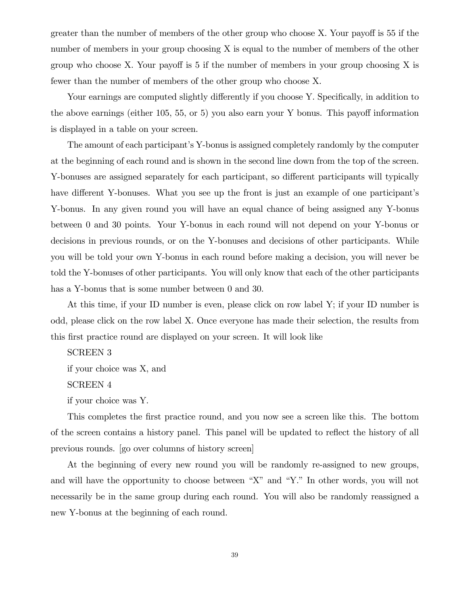greater than the number of members of the other group who choose  $X$ . Your payoff is 55 if the number of members in your group choosing X is equal to the number of members of the other group who choose X. Your payoff is  $5$  if the number of members in your group choosing X is fewer than the number of members of the other group who choose X.

Your earnings are computed slightly differently if you choose Y. Specifically, in addition to the above earnings (either 105, 55, or 5) you also earn your Y bonus. This payoff information is displayed in a table on your screen.

The amount of each participant's Y-bonus is assigned completely randomly by the computer at the beginning of each round and is shown in the second line down from the top of the screen. Y-bonuses are assigned separately for each participant, so different participants will typically have different Y-bonuses. What you see up the front is just an example of one participant's Y-bonus. In any given round you will have an equal chance of being assigned any Y-bonus between 0 and 30 points. Your Y-bonus in each round will not depend on your Y-bonus or decisions in previous rounds, or on the Y-bonuses and decisions of other participants. While you will be told your own Y-bonus in each round before making a decision, you will never be told the Y-bonuses of other participants. You will only know that each of the other participants has a Y-bonus that is some number between 0 and 30.

At this time, if your ID number is even, please click on row label Y; if your ID number is odd, please click on the row label X. Once everyone has made their selection, the results from this Örst practice round are displayed on your screen. It will look like

SCREEN 3

if your choice was X, and

SCREEN 4

if your choice was Y.

This completes the first practice round, and you now see a screen like this. The bottom of the screen contains a history panel. This panel will be updated to reflect the history of all previous rounds. [go over columns of history screen]

At the beginning of every new round you will be randomly re-assigned to new groups, and will have the opportunity to choose between  $X^{\prime}$  and  $Y^{\prime}$ ." In other words, you will not necessarily be in the same group during each round. You will also be randomly reassigned a new Y-bonus at the beginning of each round.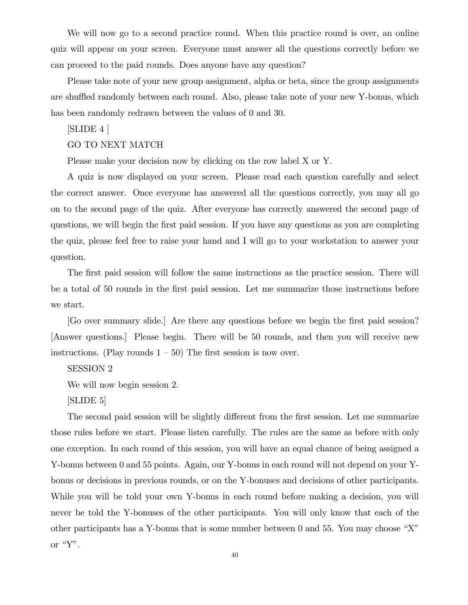We will now go to a second practice round. When this practice round is over, an online quiz will appear on your screen. Everyone must answer all the questions correctly before we can proceed to the paid rounds. Does anyone have any question?

Please take note of your new group assignment, alpha or beta, since the group assignments are shuffled randomly between each round. Also, please take note of your new Y-bonus, which has been randomly redrawn between the values of 0 and 30.

#### [SLIDE 4 ]

#### GO TO NEXT MATCH

Please make your decision now by clicking on the row label X or Y.

A quiz is now displayed on your screen. Please read each question carefully and select the correct answer. Once everyone has answered all the questions correctly, you may all go on to the second page of the quiz. After everyone has correctly answered the second page of questions, we will begin the first paid session. If you have any questions as you are completing the quiz, please feel free to raise your hand and I will go to your workstation to answer your question.

The first paid session will follow the same instructions as the practice session. There will be a total of 50 rounds in the Örst paid session. Let me summarize those instructions before we start.

[Go over summary slide.] Are there any questions before we begin the Örst paid session? [Answer questions.] Please begin. There will be 50 rounds, and then you will receive new instructions. (Play rounds  $1-50$ ) The first session is now over.

SESSION 2

We will now begin session 2.

[SLIDE 5]

The second paid session will be slightly different from the first session. Let me summarize those rules before we start. Please listen carefully. The rules are the same as before with only one exception. In each round of this session, you will have an equal chance of being assigned a Y-bonus between 0 and 55 points. Again, our Y-bonus in each round will not depend on your Ybonus or decisions in previous rounds, or on the Y-bonuses and decisions of other participants. While you will be told your own Y-bonus in each round before making a decision, you will never be told the Y-bonuses of the other participants. You will only know that each of the other participants has a Y-bonus that is some number between 0 and 55. You may choose  $X$ <sup>n</sup> or  $\mathbf{Y}$ .